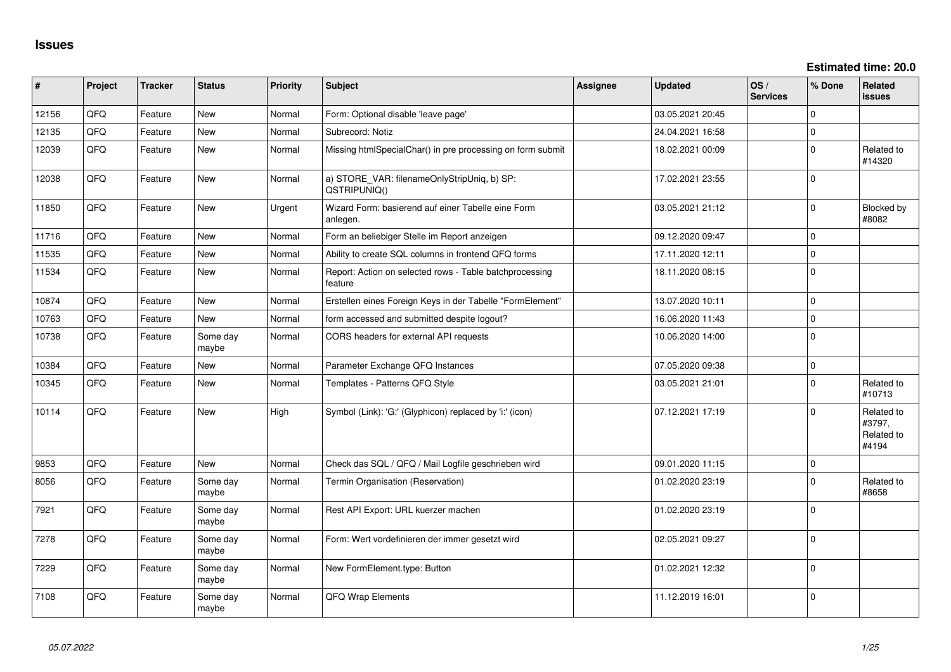**Estimated time: 20.0**

| #     | Project | <b>Tracker</b> | <b>Status</b>     | Priority | <b>Subject</b>                                                     | <b>Assignee</b> | <b>Updated</b>   | OS/<br><b>Services</b> | % Done      | <b>Related</b><br>issues                    |
|-------|---------|----------------|-------------------|----------|--------------------------------------------------------------------|-----------------|------------------|------------------------|-------------|---------------------------------------------|
| 12156 | QFQ     | Feature        | New               | Normal   | Form: Optional disable 'leave page'                                |                 | 03.05.2021 20:45 |                        | $\Omega$    |                                             |
| 12135 | QFQ     | Feature        | <b>New</b>        | Normal   | Subrecord: Notiz                                                   |                 | 24.04.2021 16:58 |                        | $\Omega$    |                                             |
| 12039 | QFQ     | Feature        | New               | Normal   | Missing htmlSpecialChar() in pre processing on form submit         |                 | 18.02.2021 00:09 |                        | $\Omega$    | Related to<br>#14320                        |
| 12038 | QFQ     | Feature        | New               | Normal   | a) STORE_VAR: filenameOnlyStripUniq, b) SP:<br>QSTRIPUNIQ()        |                 | 17.02.2021 23:55 |                        | $\Omega$    |                                             |
| 11850 | QFQ     | Feature        | New               | Urgent   | Wizard Form: basierend auf einer Tabelle eine Form<br>anlegen.     |                 | 03.05.2021 21:12 |                        | $\Omega$    | Blocked by<br>#8082                         |
| 11716 | QFQ     | Feature        | <b>New</b>        | Normal   | Form an beliebiger Stelle im Report anzeigen                       |                 | 09.12.2020 09:47 |                        | $\Omega$    |                                             |
| 11535 | QFQ     | Feature        | <b>New</b>        | Normal   | Ability to create SQL columns in frontend QFQ forms                |                 | 17.11.2020 12:11 |                        | $\Omega$    |                                             |
| 11534 | QFQ     | Feature        | New               | Normal   | Report: Action on selected rows - Table batchprocessing<br>feature |                 | 18.11.2020 08:15 |                        | $\Omega$    |                                             |
| 10874 | QFQ     | Feature        | <b>New</b>        | Normal   | Erstellen eines Foreign Keys in der Tabelle "FormElement"          |                 | 13.07.2020 10:11 |                        | $\Omega$    |                                             |
| 10763 | QFQ     | Feature        | <b>New</b>        | Normal   | form accessed and submitted despite logout?                        |                 | 16.06.2020 11:43 |                        | $\Omega$    |                                             |
| 10738 | QFQ     | Feature        | Some day<br>maybe | Normal   | CORS headers for external API requests                             |                 | 10.06.2020 14:00 |                        | $\mathbf 0$ |                                             |
| 10384 | QFQ     | Feature        | <b>New</b>        | Normal   | Parameter Exchange QFQ Instances                                   |                 | 07.05.2020 09:38 |                        | $\mathbf 0$ |                                             |
| 10345 | QFQ     | Feature        | New               | Normal   | Templates - Patterns QFQ Style                                     |                 | 03.05.2021 21:01 |                        | $\Omega$    | Related to<br>#10713                        |
| 10114 | QFQ     | Feature        | New               | High     | Symbol (Link): 'G:' (Glyphicon) replaced by 'i:' (icon)            |                 | 07.12.2021 17:19 |                        | $\Omega$    | Related to<br>#3797,<br>Related to<br>#4194 |
| 9853  | QFQ     | Feature        | <b>New</b>        | Normal   | Check das SQL / QFQ / Mail Logfile geschrieben wird                |                 | 09.01.2020 11:15 |                        | $\mathbf 0$ |                                             |
| 8056  | QFQ     | Feature        | Some day<br>maybe | Normal   | Termin Organisation (Reservation)                                  |                 | 01.02.2020 23:19 |                        | $\Omega$    | Related to<br>#8658                         |
| 7921  | QFQ     | Feature        | Some day<br>maybe | Normal   | Rest API Export: URL kuerzer machen                                |                 | 01.02.2020 23:19 |                        | $\Omega$    |                                             |
| 7278  | QFQ     | Feature        | Some day<br>maybe | Normal   | Form: Wert vordefinieren der immer gesetzt wird                    |                 | 02.05.2021 09:27 |                        | $\Omega$    |                                             |
| 7229  | QFQ     | Feature        | Some day<br>maybe | Normal   | New FormElement.type: Button                                       |                 | 01.02.2021 12:32 |                        | $\Omega$    |                                             |
| 7108  | QFQ     | Feature        | Some day<br>maybe | Normal   | QFQ Wrap Elements                                                  |                 | 11.12.2019 16:01 |                        | $\Omega$    |                                             |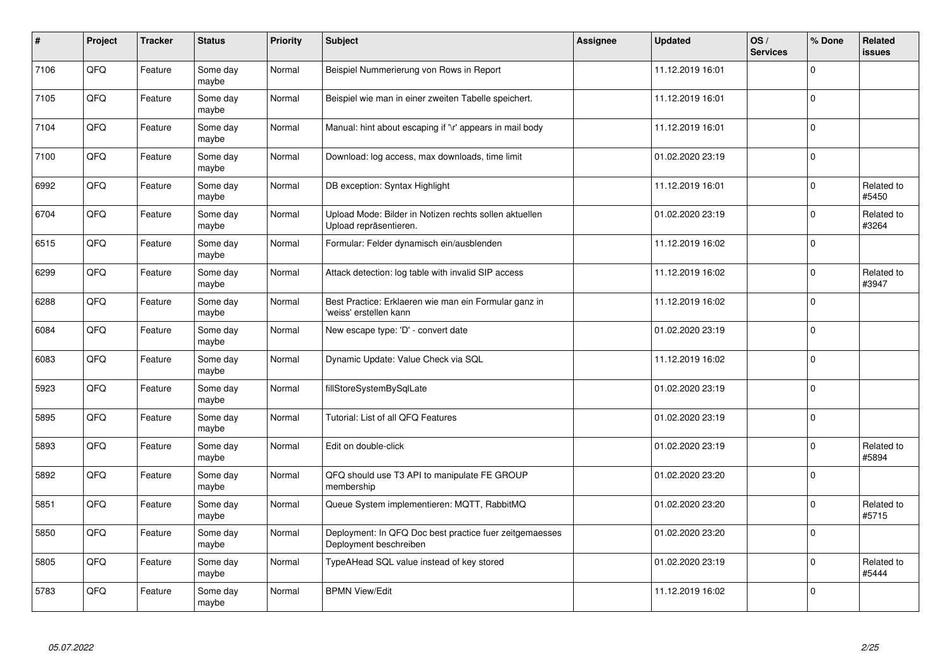| $\pmb{\#}$ | Project | <b>Tracker</b> | <b>Status</b>     | <b>Priority</b> | <b>Subject</b>                                                                    | Assignee | <b>Updated</b>   | OS/<br><b>Services</b> | % Done         | Related<br><b>issues</b> |
|------------|---------|----------------|-------------------|-----------------|-----------------------------------------------------------------------------------|----------|------------------|------------------------|----------------|--------------------------|
| 7106       | QFQ     | Feature        | Some day<br>maybe | Normal          | Beispiel Nummerierung von Rows in Report                                          |          | 11.12.2019 16:01 |                        | $\Omega$       |                          |
| 7105       | QFQ     | Feature        | Some day<br>maybe | Normal          | Beispiel wie man in einer zweiten Tabelle speichert.                              |          | 11.12.2019 16:01 |                        | $\mathbf 0$    |                          |
| 7104       | QFQ     | Feature        | Some day<br>maybe | Normal          | Manual: hint about escaping if '\r' appears in mail body                          |          | 11.12.2019 16:01 |                        | $\mathbf 0$    |                          |
| 7100       | QFQ     | Feature        | Some day<br>maybe | Normal          | Download: log access, max downloads, time limit                                   |          | 01.02.2020 23:19 |                        | $\Omega$       |                          |
| 6992       | QFQ     | Feature        | Some day<br>maybe | Normal          | DB exception: Syntax Highlight                                                    |          | 11.12.2019 16:01 |                        | $\mathbf 0$    | Related to<br>#5450      |
| 6704       | QFQ     | Feature        | Some day<br>maybe | Normal          | Upload Mode: Bilder in Notizen rechts sollen aktuellen<br>Upload repräsentieren.  |          | 01.02.2020 23:19 |                        | $\mathbf 0$    | Related to<br>#3264      |
| 6515       | QFQ     | Feature        | Some day<br>maybe | Normal          | Formular: Felder dynamisch ein/ausblenden                                         |          | 11.12.2019 16:02 |                        | $\pmb{0}$      |                          |
| 6299       | QFQ     | Feature        | Some day<br>maybe | Normal          | Attack detection: log table with invalid SIP access                               |          | 11.12.2019 16:02 |                        | $\Omega$       | Related to<br>#3947      |
| 6288       | QFQ     | Feature        | Some day<br>maybe | Normal          | Best Practice: Erklaeren wie man ein Formular ganz in<br>'weiss' erstellen kann   |          | 11.12.2019 16:02 |                        | $\mathbf 0$    |                          |
| 6084       | QFQ     | Feature        | Some day<br>maybe | Normal          | New escape type: 'D' - convert date                                               |          | 01.02.2020 23:19 |                        | $\mathbf 0$    |                          |
| 6083       | QFQ     | Feature        | Some day<br>maybe | Normal          | Dynamic Update: Value Check via SQL                                               |          | 11.12.2019 16:02 |                        | $\mathbf 0$    |                          |
| 5923       | QFQ     | Feature        | Some day<br>maybe | Normal          | fillStoreSystemBySqlLate                                                          |          | 01.02.2020 23:19 |                        | $\overline{0}$ |                          |
| 5895       | QFQ     | Feature        | Some day<br>maybe | Normal          | Tutorial: List of all QFQ Features                                                |          | 01.02.2020 23:19 |                        | 0              |                          |
| 5893       | QFQ     | Feature        | Some day<br>maybe | Normal          | Edit on double-click                                                              |          | 01.02.2020 23:19 |                        | $\pmb{0}$      | Related to<br>#5894      |
| 5892       | QFQ     | Feature        | Some day<br>maybe | Normal          | QFQ should use T3 API to manipulate FE GROUP<br>membership                        |          | 01.02.2020 23:20 |                        | $\mathbf 0$    |                          |
| 5851       | QFQ     | Feature        | Some day<br>maybe | Normal          | Queue System implementieren: MQTT, RabbitMQ                                       |          | 01.02.2020 23:20 |                        | $\Omega$       | Related to<br>#5715      |
| 5850       | QFQ     | Feature        | Some day<br>maybe | Normal          | Deployment: In QFQ Doc best practice fuer zeitgemaesses<br>Deployment beschreiben |          | 01.02.2020 23:20 |                        | $\mathbf 0$    |                          |
| 5805       | QFQ     | Feature        | Some day<br>maybe | Normal          | TypeAHead SQL value instead of key stored                                         |          | 01.02.2020 23:19 |                        | $\pmb{0}$      | Related to<br>#5444      |
| 5783       | QFQ     | Feature        | Some day<br>maybe | Normal          | <b>BPMN View/Edit</b>                                                             |          | 11.12.2019 16:02 |                        | $\mathbf 0$    |                          |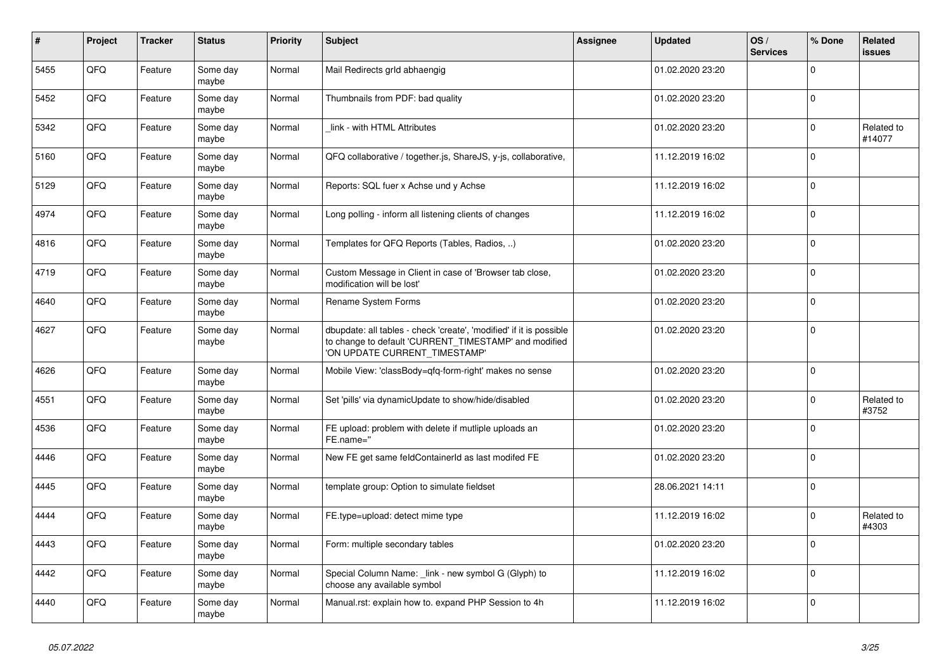| $\pmb{\sharp}$ | Project | <b>Tracker</b> | <b>Status</b>     | <b>Priority</b> | <b>Subject</b>                                                                                                                                                | Assignee | <b>Updated</b>   | OS/<br><b>Services</b> | % Done         | Related<br><b>issues</b> |
|----------------|---------|----------------|-------------------|-----------------|---------------------------------------------------------------------------------------------------------------------------------------------------------------|----------|------------------|------------------------|----------------|--------------------------|
| 5455           | QFQ     | Feature        | Some day<br>maybe | Normal          | Mail Redirects grld abhaengig                                                                                                                                 |          | 01.02.2020 23:20 |                        | $\Omega$       |                          |
| 5452           | QFQ     | Feature        | Some day<br>maybe | Normal          | Thumbnails from PDF: bad quality                                                                                                                              |          | 01.02.2020 23:20 |                        | $\mathbf 0$    |                          |
| 5342           | QFQ     | Feature        | Some day<br>maybe | Normal          | link - with HTML Attributes                                                                                                                                   |          | 01.02.2020 23:20 |                        | $\mathbf 0$    | Related to<br>#14077     |
| 5160           | QFQ     | Feature        | Some day<br>maybe | Normal          | QFQ collaborative / together.js, ShareJS, y-js, collaborative,                                                                                                |          | 11.12.2019 16:02 |                        | $\Omega$       |                          |
| 5129           | QFQ     | Feature        | Some day<br>maybe | Normal          | Reports: SQL fuer x Achse und y Achse                                                                                                                         |          | 11.12.2019 16:02 |                        | $\overline{0}$ |                          |
| 4974           | QFQ     | Feature        | Some day<br>maybe | Normal          | Long polling - inform all listening clients of changes                                                                                                        |          | 11.12.2019 16:02 |                        | $\mathbf 0$    |                          |
| 4816           | QFQ     | Feature        | Some day<br>maybe | Normal          | Templates for QFQ Reports (Tables, Radios, )                                                                                                                  |          | 01.02.2020 23:20 |                        | $\Omega$       |                          |
| 4719           | QFQ     | Feature        | Some day<br>maybe | Normal          | Custom Message in Client in case of 'Browser tab close,<br>modification will be lost'                                                                         |          | 01.02.2020 23:20 |                        | $\mathbf 0$    |                          |
| 4640           | QFQ     | Feature        | Some day<br>maybe | Normal          | Rename System Forms                                                                                                                                           |          | 01.02.2020 23:20 |                        | $\mathbf 0$    |                          |
| 4627           | QFQ     | Feature        | Some day<br>maybe | Normal          | dbupdate: all tables - check 'create', 'modified' if it is possible<br>to change to default 'CURRENT_TIMESTAMP' and modified<br>'ON UPDATE CURRENT_TIMESTAMP' |          | 01.02.2020 23:20 |                        | $\mathbf 0$    |                          |
| 4626           | QFQ     | Feature        | Some day<br>maybe | Normal          | Mobile View: 'classBody=qfq-form-right' makes no sense                                                                                                        |          | 01.02.2020 23:20 |                        | $\Omega$       |                          |
| 4551           | QFQ     | Feature        | Some day<br>maybe | Normal          | Set 'pills' via dynamicUpdate to show/hide/disabled                                                                                                           |          | 01.02.2020 23:20 |                        | $\mathbf 0$    | Related to<br>#3752      |
| 4536           | QFQ     | Feature        | Some day<br>maybe | Normal          | FE upload: problem with delete if mutliple uploads an<br>FE.name="                                                                                            |          | 01.02.2020 23:20 |                        | $\mathbf 0$    |                          |
| 4446           | QFQ     | Feature        | Some day<br>maybe | Normal          | New FE get same feldContainerId as last modifed FE                                                                                                            |          | 01.02.2020 23:20 |                        | $\Omega$       |                          |
| 4445           | QFQ     | Feature        | Some day<br>maybe | Normal          | template group: Option to simulate fieldset                                                                                                                   |          | 28.06.2021 14:11 |                        | 0              |                          |
| 4444           | QFQ     | Feature        | Some day<br>maybe | Normal          | FE.type=upload: detect mime type                                                                                                                              |          | 11.12.2019 16:02 |                        | $\Omega$       | Related to<br>#4303      |
| 4443           | QFQ     | Feature        | Some day<br>maybe | Normal          | Form: multiple secondary tables                                                                                                                               |          | 01.02.2020 23:20 |                        | $\Omega$       |                          |
| 4442           | QFQ     | Feature        | Some day<br>maybe | Normal          | Special Column Name: _link - new symbol G (Glyph) to<br>choose any available symbol                                                                           |          | 11.12.2019 16:02 |                        | $\Omega$       |                          |
| 4440           | QFQ     | Feature        | Some day<br>maybe | Normal          | Manual.rst: explain how to. expand PHP Session to 4h                                                                                                          |          | 11.12.2019 16:02 |                        | $\mathbf 0$    |                          |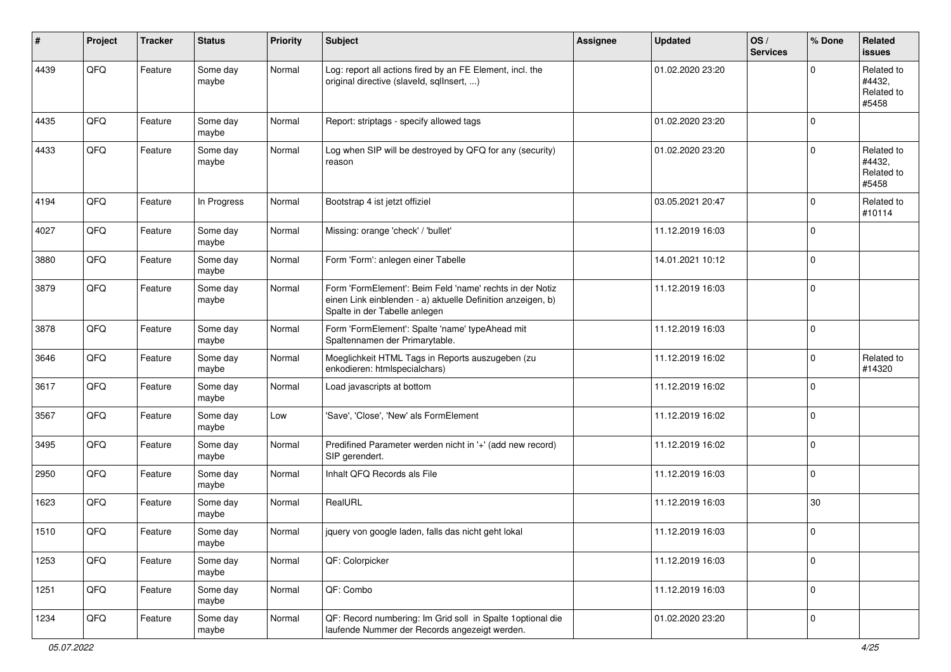| ∦    | Project | <b>Tracker</b> | <b>Status</b>     | <b>Priority</b> | <b>Subject</b>                                                                                                                                           | <b>Assignee</b> | <b>Updated</b>   | OS/<br><b>Services</b> | % Done              | Related<br><b>issues</b>                    |
|------|---------|----------------|-------------------|-----------------|----------------------------------------------------------------------------------------------------------------------------------------------------------|-----------------|------------------|------------------------|---------------------|---------------------------------------------|
| 4439 | QFQ     | Feature        | Some day<br>maybe | Normal          | Log: report all actions fired by an FE Element, incl. the<br>original directive (slaveld, sqlInsert, )                                                   |                 | 01.02.2020 23:20 |                        | $\mathbf 0$         | Related to<br>#4432,<br>Related to<br>#5458 |
| 4435 | QFQ     | Feature        | Some day<br>maybe | Normal          | Report: striptags - specify allowed tags                                                                                                                 |                 | 01.02.2020 23:20 |                        | $\mathbf 0$         |                                             |
| 4433 | QFQ     | Feature        | Some day<br>maybe | Normal          | Log when SIP will be destroyed by QFQ for any (security)<br>reason                                                                                       |                 | 01.02.2020 23:20 |                        | $\mathbf 0$         | Related to<br>#4432,<br>Related to<br>#5458 |
| 4194 | QFQ     | Feature        | In Progress       | Normal          | Bootstrap 4 ist jetzt offiziel                                                                                                                           |                 | 03.05.2021 20:47 |                        | $\mathbf 0$         | Related to<br>#10114                        |
| 4027 | QFQ     | Feature        | Some day<br>maybe | Normal          | Missing: orange 'check' / 'bullet'                                                                                                                       |                 | 11.12.2019 16:03 |                        | $\mathbf 0$         |                                             |
| 3880 | QFQ     | Feature        | Some day<br>maybe | Normal          | Form 'Form': anlegen einer Tabelle                                                                                                                       |                 | 14.01.2021 10:12 |                        | $\mathbf 0$         |                                             |
| 3879 | QFQ     | Feature        | Some day<br>maybe | Normal          | Form 'FormElement': Beim Feld 'name' rechts in der Notiz<br>einen Link einblenden - a) aktuelle Definition anzeigen, b)<br>Spalte in der Tabelle anlegen |                 | 11.12.2019 16:03 |                        | $\mathbf 0$         |                                             |
| 3878 | QFQ     | Feature        | Some day<br>maybe | Normal          | Form 'FormElement': Spalte 'name' typeAhead mit<br>Spaltennamen der Primarytable.                                                                        |                 | 11.12.2019 16:03 |                        | $\mathbf 0$         |                                             |
| 3646 | QFQ     | Feature        | Some day<br>maybe | Normal          | Moeglichkeit HTML Tags in Reports auszugeben (zu<br>enkodieren: htmlspecialchars)                                                                        |                 | 11.12.2019 16:02 |                        | $\mathbf 0$         | Related to<br>#14320                        |
| 3617 | QFQ     | Feature        | Some day<br>maybe | Normal          | Load javascripts at bottom                                                                                                                               |                 | 11.12.2019 16:02 |                        | $\mathbf 0$         |                                             |
| 3567 | QFQ     | Feature        | Some day<br>maybe | Low             | 'Save', 'Close', 'New' als FormElement                                                                                                                   |                 | 11.12.2019 16:02 |                        | $\mathbf 0$         |                                             |
| 3495 | QFQ     | Feature        | Some day<br>maybe | Normal          | Predifined Parameter werden nicht in '+' (add new record)<br>SIP gerendert.                                                                              |                 | 11.12.2019 16:02 |                        | $\mathbf 0$         |                                             |
| 2950 | QFQ     | Feature        | Some day<br>maybe | Normal          | Inhalt QFQ Records als File                                                                                                                              |                 | 11.12.2019 16:03 |                        | $\mathbf 0$         |                                             |
| 1623 | QFQ     | Feature        | Some day<br>maybe | Normal          | RealURL                                                                                                                                                  |                 | 11.12.2019 16:03 |                        | 30                  |                                             |
| 1510 | QFQ     | Feature        | Some day<br>maybe | Normal          | jquery von google laden, falls das nicht geht lokal                                                                                                      |                 | 11.12.2019 16:03 |                        | $\mathbf 0$         |                                             |
| 1253 | QFQ     | Feature        | Some day<br>maybe | Normal          | QF: Colorpicker                                                                                                                                          |                 | 11.12.2019 16:03 |                        | $\mathbf 0$         |                                             |
| 1251 | QFQ     | Feature        | Some day<br>maybe | Normal          | QF: Combo                                                                                                                                                |                 | 11.12.2019 16:03 |                        | $\mathsf{O}\xspace$ |                                             |
| 1234 | QFG     | Feature        | Some day<br>maybe | Normal          | QF: Record numbering: Im Grid soll in Spalte 1 optional die<br>laufende Nummer der Records angezeigt werden.                                             |                 | 01.02.2020 23:20 |                        | $\mathbf 0$         |                                             |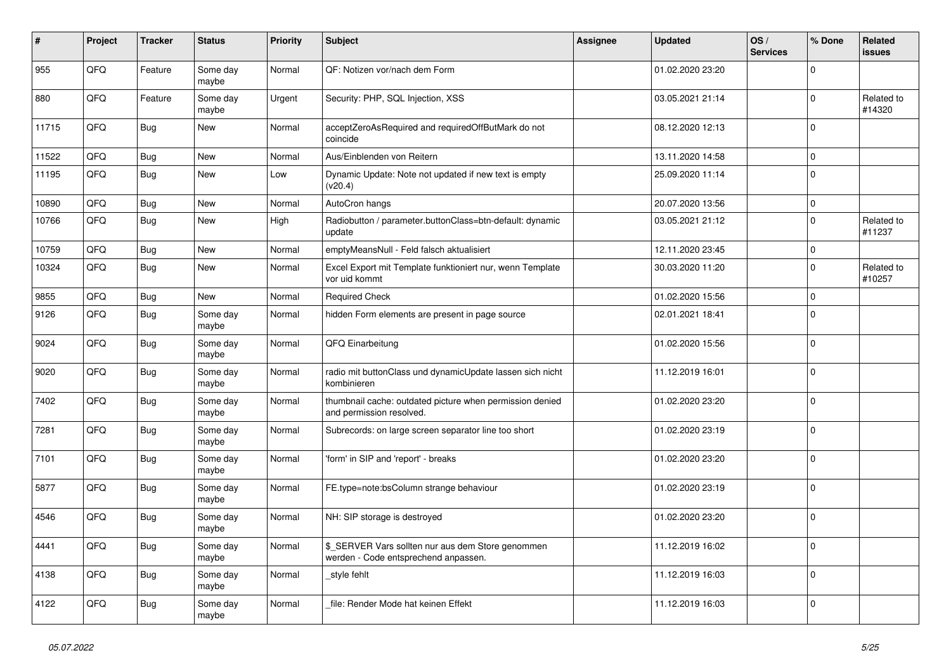| #     | Project | <b>Tracker</b> | <b>Status</b>     | <b>Priority</b> | <b>Subject</b>                                                                            | Assignee | <b>Updated</b>   | OS/<br><b>Services</b> | % Done       | Related<br><b>issues</b> |
|-------|---------|----------------|-------------------|-----------------|-------------------------------------------------------------------------------------------|----------|------------------|------------------------|--------------|--------------------------|
| 955   | QFQ     | Feature        | Some day<br>maybe | Normal          | QF: Notizen vor/nach dem Form                                                             |          | 01.02.2020 23:20 |                        | $\Omega$     |                          |
| 880   | QFQ     | Feature        | Some day<br>maybe | Urgent          | Security: PHP, SQL Injection, XSS                                                         |          | 03.05.2021 21:14 |                        | $\mathbf 0$  | Related to<br>#14320     |
| 11715 | QFQ     | <b>Bug</b>     | <b>New</b>        | Normal          | acceptZeroAsRequired and requiredOffButMark do not<br>coincide                            |          | 08.12.2020 12:13 |                        | $\Omega$     |                          |
| 11522 | QFQ     | Bug            | <b>New</b>        | Normal          | Aus/Einblenden von Reitern                                                                |          | 13.11.2020 14:58 |                        | $\mathbf 0$  |                          |
| 11195 | QFQ     | Bug            | New               | Low             | Dynamic Update: Note not updated if new text is empty<br>(v20.4)                          |          | 25.09.2020 11:14 |                        | $\Omega$     |                          |
| 10890 | QFQ     | <b>Bug</b>     | New               | Normal          | AutoCron hangs                                                                            |          | 20.07.2020 13:56 |                        | $\mathbf 0$  |                          |
| 10766 | QFQ     | <b>Bug</b>     | New               | High            | Radiobutton / parameter.buttonClass=btn-default: dynamic<br>update                        |          | 03.05.2021 21:12 |                        | $\mathbf 0$  | Related to<br>#11237     |
| 10759 | QFQ     | Bug            | <b>New</b>        | Normal          | emptyMeansNull - Feld falsch aktualisiert                                                 |          | 12.11.2020 23:45 |                        | $\mathbf 0$  |                          |
| 10324 | QFQ     | Bug            | <b>New</b>        | Normal          | Excel Export mit Template funktioniert nur, wenn Template<br>vor uid kommt                |          | 30.03.2020 11:20 |                        | $\Omega$     | Related to<br>#10257     |
| 9855  | QFQ     | Bug            | <b>New</b>        | Normal          | <b>Required Check</b>                                                                     |          | 01.02.2020 15:56 |                        | $\mathbf 0$  |                          |
| 9126  | QFQ     | <b>Bug</b>     | Some day<br>maybe | Normal          | hidden Form elements are present in page source                                           |          | 02.01.2021 18:41 |                        | $\mathbf 0$  |                          |
| 9024  | QFQ     | <b>Bug</b>     | Some day<br>maybe | Normal          | QFQ Einarbeitung                                                                          |          | 01.02.2020 15:56 |                        | $\mathbf 0$  |                          |
| 9020  | QFQ     | <b>Bug</b>     | Some day<br>maybe | Normal          | radio mit buttonClass und dynamicUpdate lassen sich nicht<br>kombinieren                  |          | 11.12.2019 16:01 |                        | $\Omega$     |                          |
| 7402  | QFQ     | Bug            | Some day<br>maybe | Normal          | thumbnail cache: outdated picture when permission denied<br>and permission resolved.      |          | 01.02.2020 23:20 |                        | $\mathbf{0}$ |                          |
| 7281  | QFQ     | <b>Bug</b>     | Some day<br>maybe | Normal          | Subrecords: on large screen separator line too short                                      |          | 01.02.2020 23:19 |                        | $\mathbf 0$  |                          |
| 7101  | QFQ     | <b>Bug</b>     | Some day<br>maybe | Normal          | 'form' in SIP and 'report' - breaks                                                       |          | 01.02.2020 23:20 |                        | $\Omega$     |                          |
| 5877  | QFQ     | <b>Bug</b>     | Some day<br>maybe | Normal          | FE.type=note:bsColumn strange behaviour                                                   |          | 01.02.2020 23:19 |                        | $\Omega$     |                          |
| 4546  | QFQ     | Bug            | Some day<br>maybe | Normal          | NH: SIP storage is destroyed                                                              |          | 01.02.2020 23:20 |                        | $\mathbf 0$  |                          |
| 4441  | QFQ     | <b>Bug</b>     | Some day<br>maybe | Normal          | \$ SERVER Vars sollten nur aus dem Store genommen<br>werden - Code entsprechend anpassen. |          | 11.12.2019 16:02 |                        | $\Omega$     |                          |
| 4138  | QFQ     | <b>Bug</b>     | Some day<br>maybe | Normal          | style fehlt                                                                               |          | 11.12.2019 16:03 |                        | $\mathbf 0$  |                          |
| 4122  | QFQ     | Bug            | Some day<br>maybe | Normal          | file: Render Mode hat keinen Effekt                                                       |          | 11.12.2019 16:03 |                        | $\Omega$     |                          |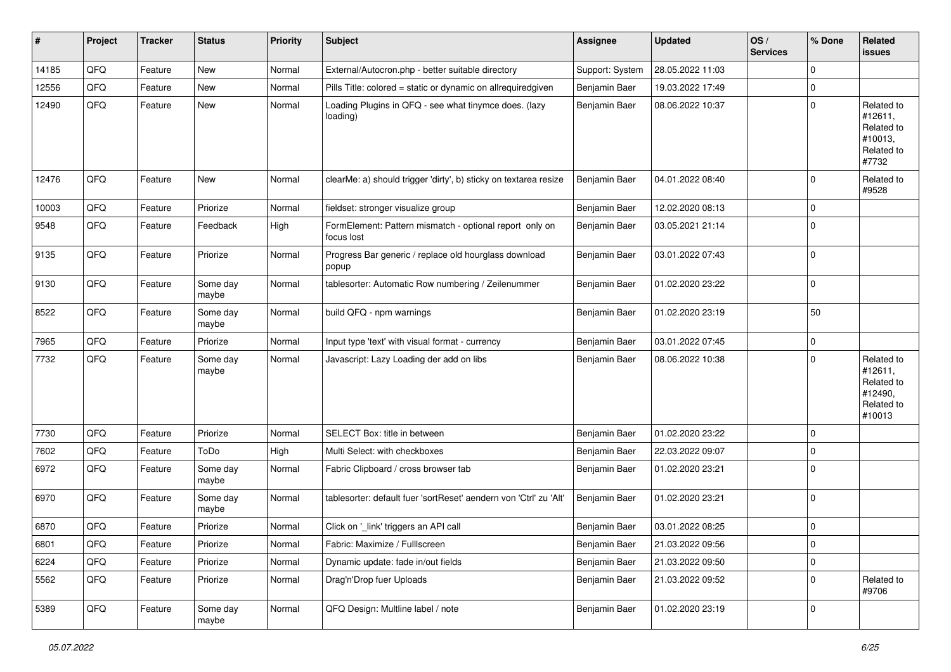| ∦     | Project | <b>Tracker</b> | <b>Status</b>     | <b>Priority</b> | <b>Subject</b>                                                        | <b>Assignee</b> | <b>Updated</b>   | OS/<br><b>Services</b> | % Done      | Related<br>issues                                                      |
|-------|---------|----------------|-------------------|-----------------|-----------------------------------------------------------------------|-----------------|------------------|------------------------|-------------|------------------------------------------------------------------------|
| 14185 | QFQ     | Feature        | <b>New</b>        | Normal          | External/Autocron.php - better suitable directory                     | Support: System | 28.05.2022 11:03 |                        | $\Omega$    |                                                                        |
| 12556 | QFQ     | Feature        | New               | Normal          | Pills Title: colored = static or dynamic on allrequiredgiven          | Benjamin Baer   | 19.03.2022 17:49 |                        | 0           |                                                                        |
| 12490 | QFQ     | Feature        | New               | Normal          | Loading Plugins in QFQ - see what tinymce does. (lazy<br>loading)     | Benjamin Baer   | 08.06.2022 10:37 |                        | $\Omega$    | Related to<br>#12611,<br>Related to<br>#10013,<br>Related to<br>#7732  |
| 12476 | QFQ     | Feature        | New               | Normal          | clearMe: a) should trigger 'dirty', b) sticky on textarea resize      | Benjamin Baer   | 04.01.2022 08:40 |                        | $\Omega$    | Related to<br>#9528                                                    |
| 10003 | QFQ     | Feature        | Priorize          | Normal          | fieldset: stronger visualize group                                    | Benjamin Baer   | 12.02.2020 08:13 |                        | 0           |                                                                        |
| 9548  | QFQ     | Feature        | Feedback          | High            | FormElement: Pattern mismatch - optional report only on<br>focus lost | Benjamin Baer   | 03.05.2021 21:14 |                        | 0           |                                                                        |
| 9135  | QFQ     | Feature        | Priorize          | Normal          | Progress Bar generic / replace old hourglass download<br>popup        | Benjamin Baer   | 03.01.2022 07:43 |                        | $\mathbf 0$ |                                                                        |
| 9130  | QFQ     | Feature        | Some day<br>maybe | Normal          | tablesorter: Automatic Row numbering / Zeilenummer                    | Benjamin Baer   | 01.02.2020 23:22 |                        | 0           |                                                                        |
| 8522  | QFQ     | Feature        | Some day<br>maybe | Normal          | build QFQ - npm warnings                                              | Benjamin Baer   | 01.02.2020 23:19 |                        | 50          |                                                                        |
| 7965  | QFQ     | Feature        | Priorize          | Normal          | Input type 'text' with visual format - currency                       | Benjamin Baer   | 03.01.2022 07:45 |                        | 0           |                                                                        |
| 7732  | QFQ     | Feature        | Some day<br>maybe | Normal          | Javascript: Lazy Loading der add on libs                              | Benjamin Baer   | 08.06.2022 10:38 |                        | $\Omega$    | Related to<br>#12611,<br>Related to<br>#12490,<br>Related to<br>#10013 |
| 7730  | QFQ     | Feature        | Priorize          | Normal          | SELECT Box: title in between                                          | Benjamin Baer   | 01.02.2020 23:22 |                        | $\Omega$    |                                                                        |
| 7602  | QFQ     | Feature        | ToDo              | High            | Multi Select: with checkboxes                                         | Benjamin Baer   | 22.03.2022 09:07 |                        | 0           |                                                                        |
| 6972  | QFQ     | Feature        | Some day<br>maybe | Normal          | Fabric Clipboard / cross browser tab                                  | Benjamin Baer   | 01.02.2020 23:21 |                        | $\Omega$    |                                                                        |
| 6970  | QFQ     | Feature        | Some day<br>maybe | Normal          | tablesorter: default fuer 'sortReset' aendern von 'Ctrl' zu 'Alt'     | Benjamin Baer   | 01.02.2020 23:21 |                        | 0           |                                                                        |
| 6870  | QFQ     | Feature        | Priorize          | Normal          | Click on '_link' triggers an API call                                 | Benjamin Baer   | 03.01.2022 08:25 |                        | 0           |                                                                        |
| 6801  | QFQ     | Feature        | Priorize          | Normal          | Fabric: Maximize / FullIscreen                                        | Benjamin Baer   | 21.03.2022 09:56 |                        | 0           |                                                                        |
| 6224  | QFQ     | Feature        | Priorize          | Normal          | Dynamic update: fade in/out fields                                    | Benjamin Baer   | 21.03.2022 09:50 |                        | 0           |                                                                        |
| 5562  | QFQ     | Feature        | Priorize          | Normal          | Drag'n'Drop fuer Uploads                                              | Benjamin Baer   | 21.03.2022 09:52 |                        | 0           | Related to<br>#9706                                                    |
| 5389  | QFQ     | Feature        | Some day<br>maybe | Normal          | QFQ Design: Multline label / note                                     | Benjamin Baer   | 01.02.2020 23:19 |                        | 0           |                                                                        |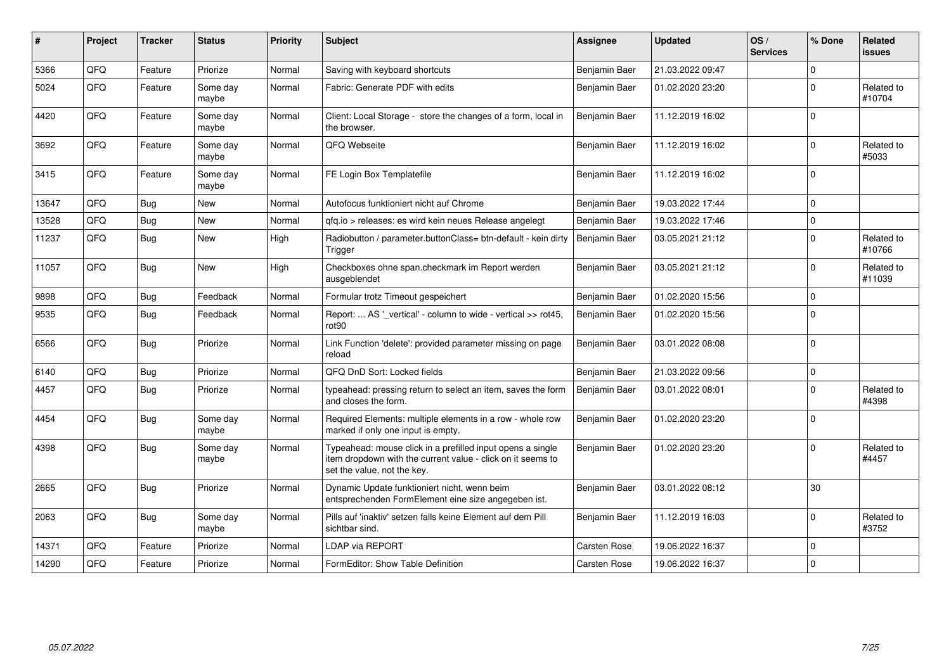| #     | Project    | <b>Tracker</b> | <b>Status</b>     | <b>Priority</b> | <b>Subject</b>                                                                                                                                           | Assignee      | <b>Updated</b>   | OS/<br><b>Services</b> | % Done       | Related<br><b>issues</b> |
|-------|------------|----------------|-------------------|-----------------|----------------------------------------------------------------------------------------------------------------------------------------------------------|---------------|------------------|------------------------|--------------|--------------------------|
| 5366  | QFQ        | Feature        | Priorize          | Normal          | Saving with keyboard shortcuts                                                                                                                           | Benjamin Baer | 21.03.2022 09:47 |                        | $\Omega$     |                          |
| 5024  | QFQ        | Feature        | Some day<br>maybe | Normal          | Fabric: Generate PDF with edits                                                                                                                          | Benjamin Baer | 01.02.2020 23:20 |                        | $\mathbf{0}$ | Related to<br>#10704     |
| 4420  | QFQ        | Feature        | Some day<br>maybe | Normal          | Client: Local Storage - store the changes of a form, local in<br>the browser.                                                                            | Benjamin Baer | 11.12.2019 16:02 |                        | $\Omega$     |                          |
| 3692  | QFQ        | Feature        | Some day<br>maybe | Normal          | QFQ Webseite                                                                                                                                             | Benjamin Baer | 11.12.2019 16:02 |                        | $\Omega$     | Related to<br>#5033      |
| 3415  | QFQ        | Feature        | Some day<br>maybe | Normal          | FE Login Box Templatefile                                                                                                                                | Benjamin Baer | 11.12.2019 16:02 |                        | $\Omega$     |                          |
| 13647 | QFQ        | Bug            | <b>New</b>        | Normal          | Autofocus funktioniert nicht auf Chrome                                                                                                                  | Benjamin Baer | 19.03.2022 17:44 |                        | $\Omega$     |                          |
| 13528 | QFQ        | Bug            | New               | Normal          | qfq.io > releases: es wird kein neues Release angelegt                                                                                                   | Benjamin Baer | 19.03.2022 17:46 |                        | $\Omega$     |                          |
| 11237 | QFQ        | Bug            | New               | High            | Radiobutton / parameter.buttonClass= btn-default - kein dirty<br>Trigger                                                                                 | Benjamin Baer | 03.05.2021 21:12 |                        | $\Omega$     | Related to<br>#10766     |
| 11057 | QFQ        | Bug            | <b>New</b>        | High            | Checkboxes ohne span.checkmark im Report werden<br>ausgeblendet                                                                                          | Benjamin Baer | 03.05.2021 21:12 |                        | $\Omega$     | Related to<br>#11039     |
| 9898  | QFQ        | <b>Bug</b>     | Feedback          | Normal          | Formular trotz Timeout gespeichert                                                                                                                       | Benjamin Baer | 01.02.2020 15:56 |                        | $\mathbf 0$  |                          |
| 9535  | QFQ        | <b>Bug</b>     | Feedback          | Normal          | Report:  AS '_vertical' - column to wide - vertical >> rot45,<br>rot90                                                                                   | Benjamin Baer | 01.02.2020 15:56 |                        | $\Omega$     |                          |
| 6566  | QFQ        | Bug            | Priorize          | Normal          | Link Function 'delete': provided parameter missing on page<br>reload                                                                                     | Benjamin Baer | 03.01.2022 08:08 |                        | $\Omega$     |                          |
| 6140  | QFQ        | <b>Bug</b>     | Priorize          | Normal          | QFQ DnD Sort: Locked fields                                                                                                                              | Benjamin Baer | 21.03.2022 09:56 |                        | $\Omega$     |                          |
| 4457  | QFQ        | Bug            | Priorize          | Normal          | typeahead: pressing return to select an item, saves the form<br>and closes the form.                                                                     | Benjamin Baer | 03.01.2022 08:01 |                        | $\Omega$     | Related to<br>#4398      |
| 4454  | <b>OFO</b> | <b>Bug</b>     | Some day<br>maybe | Normal          | Required Elements: multiple elements in a row - whole row<br>marked if only one input is empty.                                                          | Benjamin Baer | 01.02.2020 23:20 |                        | ١o           |                          |
| 4398  | QFQ        | Bug            | Some day<br>maybe | Normal          | Typeahead: mouse click in a prefilled input opens a single<br>item dropdown with the current value - click on it seems to<br>set the value, not the key. | Benjamin Baer | 01.02.2020 23:20 |                        | $\Omega$     | Related to<br>#4457      |
| 2665  | QFQ        | Bug            | Priorize          | Normal          | Dynamic Update funktioniert nicht, wenn beim<br>entsprechenden FormElement eine size angegeben ist.                                                      | Benjamin Baer | 03.01.2022 08:12 |                        | 30           |                          |
| 2063  | QFQ        | <b>Bug</b>     | Some day<br>maybe | Normal          | Pills auf 'inaktiv' setzen falls keine Element auf dem Pill<br>sichtbar sind.                                                                            | Benjamin Baer | 11.12.2019 16:03 |                        | $\Omega$     | Related to<br>#3752      |
| 14371 | QFQ        | Feature        | Priorize          | Normal          | LDAP via REPORT                                                                                                                                          | Carsten Rose  | 19.06.2022 16:37 |                        | $\mathbf{0}$ |                          |
| 14290 | QFQ        | Feature        | Priorize          | Normal          | FormEditor: Show Table Definition                                                                                                                        | Carsten Rose  | 19.06.2022 16:37 |                        | $\Omega$     |                          |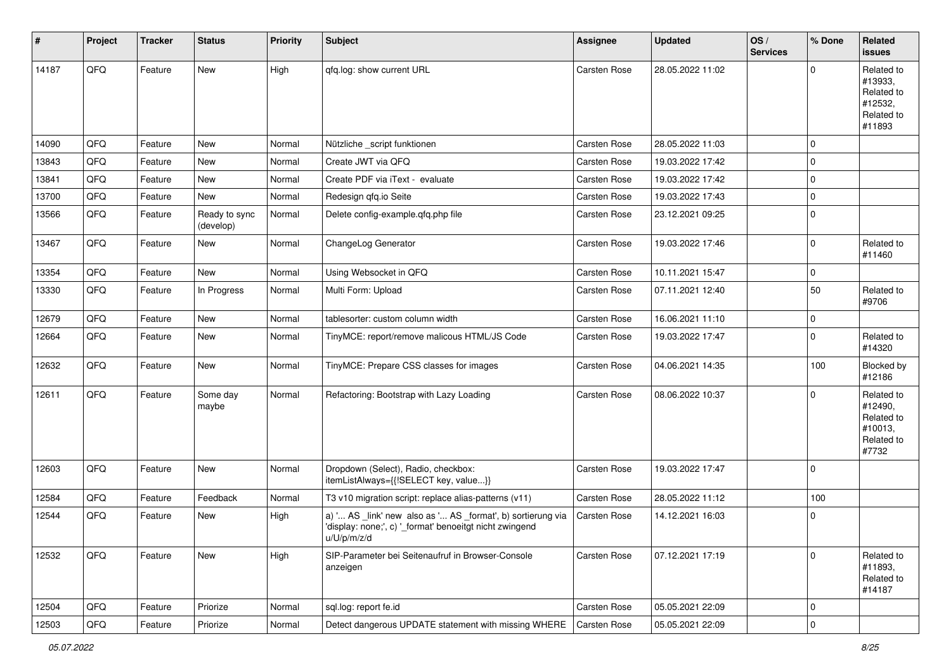| $\vert$ # | Project | <b>Tracker</b> | <b>Status</b>              | Priority | <b>Subject</b>                                                                                                                        | <b>Assignee</b>     | <b>Updated</b>   | OS/<br><b>Services</b> | % Done      | Related<br><b>issues</b>                                               |
|-----------|---------|----------------|----------------------------|----------|---------------------------------------------------------------------------------------------------------------------------------------|---------------------|------------------|------------------------|-------------|------------------------------------------------------------------------|
| 14187     | QFQ     | Feature        | New                        | High     | qfq.log: show current URL                                                                                                             | Carsten Rose        | 28.05.2022 11:02 |                        | $\Omega$    | Related to<br>#13933,<br>Related to<br>#12532,<br>Related to<br>#11893 |
| 14090     | QFQ     | Feature        | <b>New</b>                 | Normal   | Nützliche _script funktionen                                                                                                          | <b>Carsten Rose</b> | 28.05.2022 11:03 |                        | $\mathbf 0$ |                                                                        |
| 13843     | QFQ     | Feature        | New                        | Normal   | Create JWT via QFQ                                                                                                                    | <b>Carsten Rose</b> | 19.03.2022 17:42 |                        | $\Omega$    |                                                                        |
| 13841     | QFQ     | Feature        | New                        | Normal   | Create PDF via iText - evaluate                                                                                                       | Carsten Rose        | 19.03.2022 17:42 |                        | $\mathbf 0$ |                                                                        |
| 13700     | QFQ     | Feature        | New                        | Normal   | Redesign qfq.io Seite                                                                                                                 | <b>Carsten Rose</b> | 19.03.2022 17:43 |                        | $\mathbf 0$ |                                                                        |
| 13566     | QFQ     | Feature        | Ready to sync<br>(develop) | Normal   | Delete config-example.qfq.php file                                                                                                    | Carsten Rose        | 23.12.2021 09:25 |                        | $\mathbf 0$ |                                                                        |
| 13467     | QFQ     | Feature        | New                        | Normal   | ChangeLog Generator                                                                                                                   | Carsten Rose        | 19.03.2022 17:46 |                        | $\mathbf 0$ | Related to<br>#11460                                                   |
| 13354     | QFQ     | Feature        | New                        | Normal   | Using Websocket in QFQ                                                                                                                | <b>Carsten Rose</b> | 10.11.2021 15:47 |                        | $\mathbf 0$ |                                                                        |
| 13330     | QFQ     | Feature        | In Progress                | Normal   | Multi Form: Upload                                                                                                                    | Carsten Rose        | 07.11.2021 12:40 |                        | 50          | Related to<br>#9706                                                    |
| 12679     | QFQ     | Feature        | New                        | Normal   | tablesorter: custom column width                                                                                                      | <b>Carsten Rose</b> | 16.06.2021 11:10 |                        | $\mathbf 0$ |                                                                        |
| 12664     | QFQ     | Feature        | New                        | Normal   | TinyMCE: report/remove malicous HTML/JS Code                                                                                          | Carsten Rose        | 19.03.2022 17:47 |                        | $\Omega$    | Related to<br>#14320                                                   |
| 12632     | QFQ     | Feature        | New                        | Normal   | TinyMCE: Prepare CSS classes for images                                                                                               | Carsten Rose        | 04.06.2021 14:35 |                        | 100         | Blocked by<br>#12186                                                   |
| 12611     | QFQ     | Feature        | Some day<br>maybe          | Normal   | Refactoring: Bootstrap with Lazy Loading                                                                                              | Carsten Rose        | 08.06.2022 10:37 |                        | $\Omega$    | Related to<br>#12490,<br>Related to<br>#10013,<br>Related to<br>#7732  |
| 12603     | QFQ     | Feature        | New                        | Normal   | Dropdown (Select), Radio, checkbox:<br>itemListAlways={{!SELECT key, value}}                                                          | <b>Carsten Rose</b> | 19.03.2022 17:47 |                        | $\Omega$    |                                                                        |
| 12584     | QFQ     | Feature        | Feedback                   | Normal   | T3 v10 migration script: replace alias-patterns (v11)                                                                                 | <b>Carsten Rose</b> | 28.05.2022 11:12 |                        | 100         |                                                                        |
| 12544     | QFQ     | Feature        | <b>New</b>                 | High     | a) ' AS _link' new also as ' AS _format', b) sortierung via<br>'display: none;', c) '_format' benoeitgt nicht zwingend<br>u/U/p/m/z/d | Carsten Rose        | 14.12.2021 16:03 |                        | 0           |                                                                        |
| 12532     | QFQ     | Feature        | New                        | High     | SIP-Parameter bei Seitenaufruf in Browser-Console<br>anzeigen                                                                         | Carsten Rose        | 07.12.2021 17:19 |                        | $\Omega$    | Related to<br>#11893,<br>Related to<br>#14187                          |
| 12504     | QFQ     | Feature        | Priorize                   | Normal   | sql.log: report fe.id                                                                                                                 | Carsten Rose        | 05.05.2021 22:09 |                        | $\mathbf 0$ |                                                                        |
| 12503     | QFQ     | Feature        | Priorize                   | Normal   | Detect dangerous UPDATE statement with missing WHERE                                                                                  | <b>Carsten Rose</b> | 05.05.2021 22:09 |                        | $\mathbf 0$ |                                                                        |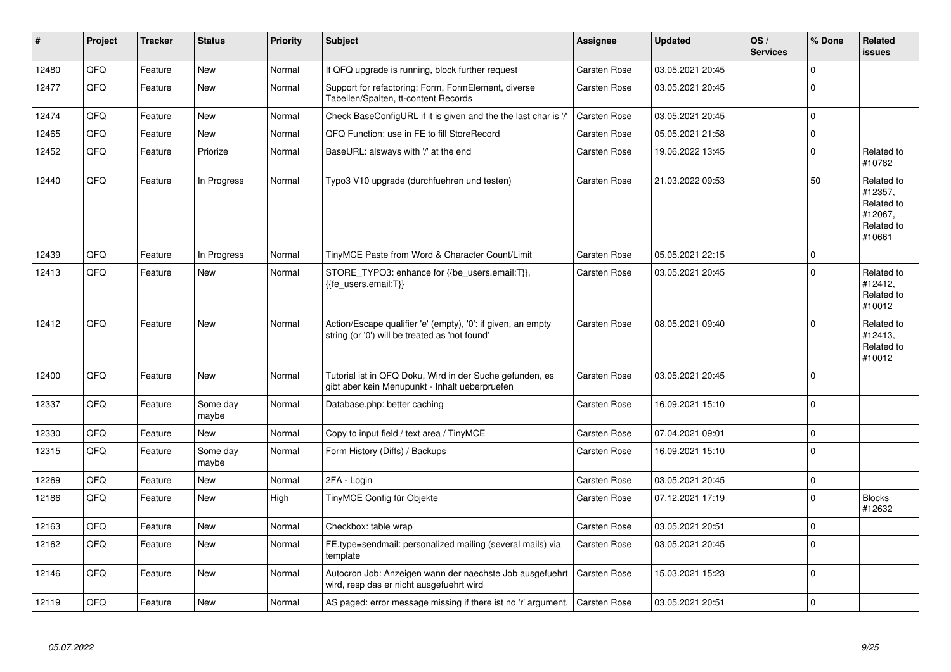| #     | Project | <b>Tracker</b> | <b>Status</b>     | <b>Priority</b> | <b>Subject</b>                                                                                                 | Assignee            | <b>Updated</b>   | OS/<br><b>Services</b> | % Done              | Related<br><b>issues</b>                                               |
|-------|---------|----------------|-------------------|-----------------|----------------------------------------------------------------------------------------------------------------|---------------------|------------------|------------------------|---------------------|------------------------------------------------------------------------|
| 12480 | QFQ     | Feature        | <b>New</b>        | Normal          | If QFQ upgrade is running, block further request                                                               | Carsten Rose        | 03.05.2021 20:45 |                        | $\Omega$            |                                                                        |
| 12477 | QFQ     | Feature        | New               | Normal          | Support for refactoring: Form, FormElement, diverse<br>Tabellen/Spalten, tt-content Records                    | Carsten Rose        | 03.05.2021 20:45 |                        | $\Omega$            |                                                                        |
| 12474 | QFQ     | Feature        | New               | Normal          | Check BaseConfigURL if it is given and the the last char is '/'                                                | Carsten Rose        | 03.05.2021 20:45 |                        | $\Omega$            |                                                                        |
| 12465 | QFQ     | Feature        | New               | Normal          | QFQ Function: use in FE to fill StoreRecord                                                                    | Carsten Rose        | 05.05.2021 21:58 |                        | $\mathsf{O}\xspace$ |                                                                        |
| 12452 | QFQ     | Feature        | Priorize          | Normal          | BaseURL: alsways with '/' at the end                                                                           | Carsten Rose        | 19.06.2022 13:45 |                        | $\mathbf 0$         | Related to<br>#10782                                                   |
| 12440 | QFQ     | Feature        | In Progress       | Normal          | Typo3 V10 upgrade (durchfuehren und testen)                                                                    | Carsten Rose        | 21.03.2022 09:53 |                        | 50                  | Related to<br>#12357.<br>Related to<br>#12067,<br>Related to<br>#10661 |
| 12439 | QFQ     | Feature        | In Progress       | Normal          | TinyMCE Paste from Word & Character Count/Limit                                                                | Carsten Rose        | 05.05.2021 22:15 |                        | $\mathsf 0$         |                                                                        |
| 12413 | QFQ     | Feature        | <b>New</b>        | Normal          | STORE TYPO3: enhance for {{be users.email:T}},<br>{{fe users.email:T}}                                         | Carsten Rose        | 03.05.2021 20:45 |                        | $\Omega$            | Related to<br>#12412,<br>Related to<br>#10012                          |
| 12412 | QFQ     | Feature        | New               | Normal          | Action/Escape qualifier 'e' (empty), '0': if given, an empty<br>string (or '0') will be treated as 'not found' | Carsten Rose        | 08.05.2021 09:40 |                        | $\mathbf 0$         | Related to<br>#12413,<br>Related to<br>#10012                          |
| 12400 | QFQ     | Feature        | <b>New</b>        | Normal          | Tutorial ist in QFQ Doku, Wird in der Suche gefunden, es<br>gibt aber kein Menupunkt - Inhalt ueberpruefen     | Carsten Rose        | 03.05.2021 20:45 |                        | $\mathbf 0$         |                                                                        |
| 12337 | QFQ     | Feature        | Some day<br>maybe | Normal          | Database.php: better caching                                                                                   | Carsten Rose        | 16.09.2021 15:10 |                        | $\Omega$            |                                                                        |
| 12330 | QFQ     | Feature        | <b>New</b>        | Normal          | Copy to input field / text area / TinyMCE                                                                      | Carsten Rose        | 07.04.2021 09:01 |                        | $\mathbf 0$         |                                                                        |
| 12315 | QFQ     | Feature        | Some day<br>maybe | Normal          | Form History (Diffs) / Backups                                                                                 | Carsten Rose        | 16.09.2021 15:10 |                        | $\Omega$            |                                                                        |
| 12269 | QFQ     | Feature        | New               | Normal          | 2FA - Login                                                                                                    | Carsten Rose        | 03.05.2021 20:45 |                        | $\mathbf 0$         |                                                                        |
| 12186 | QFQ     | Feature        | New               | High            | TinyMCE Config für Objekte                                                                                     | Carsten Rose        | 07.12.2021 17:19 |                        | $\Omega$            | <b>Blocks</b><br>#12632                                                |
| 12163 | QFQ     | Feature        | New               | Normal          | Checkbox: table wrap                                                                                           | Carsten Rose        | 03.05.2021 20:51 |                        | $\mathbf 0$         |                                                                        |
| 12162 | QFQ     | Feature        | New               | Normal          | FE.type=sendmail: personalized mailing (several mails) via<br>template                                         | Carsten Rose        | 03.05.2021 20:45 |                        | $\Omega$            |                                                                        |
| 12146 | QFQ     | Feature        | New               | Normal          | Autocron Job: Anzeigen wann der naechste Job ausgefuehrt<br>wird, resp das er nicht ausgefuehrt wird           | Carsten Rose        | 15.03.2021 15:23 |                        | $\mathbf 0$         |                                                                        |
| 12119 | QFQ     | Feature        | New               | Normal          | AS paged: error message missing if there ist no 'r' argument.                                                  | <b>Carsten Rose</b> | 03.05.2021 20:51 |                        | $\pmb{0}$           |                                                                        |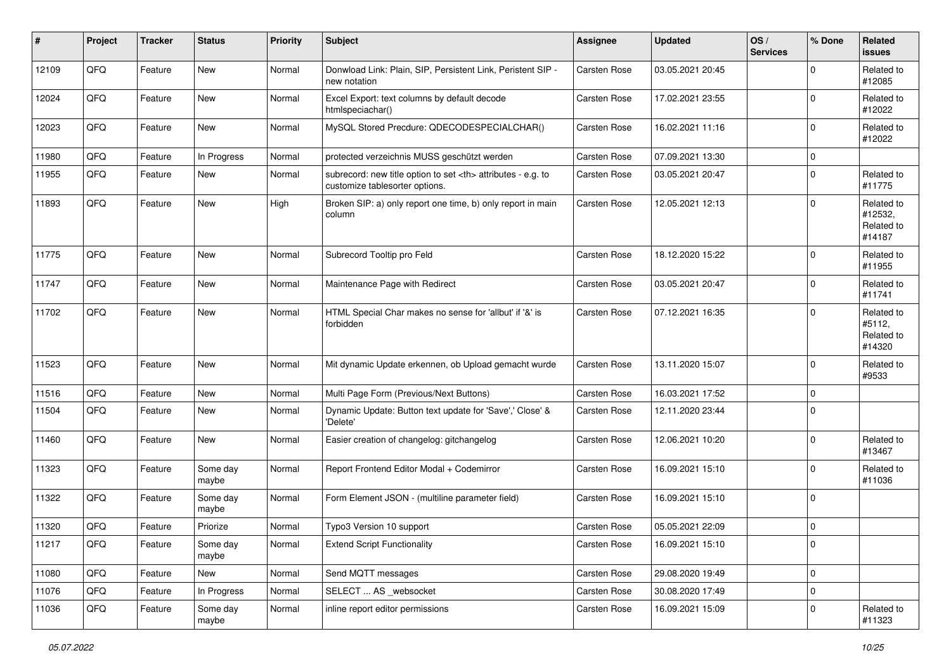| ∦     | Project | <b>Tracker</b> | <b>Status</b>     | <b>Priority</b> | <b>Subject</b>                                                                                       | <b>Assignee</b>                                        | <b>Updated</b>   | OS/<br><b>Services</b> | % Done      | Related<br><b>issues</b>                      |                      |
|-------|---------|----------------|-------------------|-----------------|------------------------------------------------------------------------------------------------------|--------------------------------------------------------|------------------|------------------------|-------------|-----------------------------------------------|----------------------|
| 12109 | QFQ     | Feature        | New               | Normal          | Donwload Link: Plain, SIP, Persistent Link, Peristent SIP -<br>new notation                          | Carsten Rose                                           | 03.05.2021 20:45 |                        | $\Omega$    | Related to<br>#12085                          |                      |
| 12024 | QFQ     | Feature        | New               | Normal          | Excel Export: text columns by default decode<br>htmlspeciachar()                                     | Carsten Rose                                           | 17.02.2021 23:55 |                        | $\mathbf 0$ | Related to<br>#12022                          |                      |
| 12023 | QFQ     | Feature        | New               | Normal          | MySQL Stored Precdure: QDECODESPECIALCHAR()                                                          | Carsten Rose                                           | 16.02.2021 11:16 |                        | $\mathbf 0$ | Related to<br>#12022                          |                      |
| 11980 | QFQ     | Feature        | In Progress       | Normal          | protected verzeichnis MUSS geschützt werden                                                          | Carsten Rose                                           | 07.09.2021 13:30 |                        | 0           |                                               |                      |
| 11955 | QFQ     | Feature        | New               | Normal          | subrecord: new title option to set <th> attributes - e.g. to<br/>customize tablesorter options.</th> | attributes - e.g. to<br>customize tablesorter options. | Carsten Rose     | 03.05.2021 20:47       |             | $\mathbf 0$                                   | Related to<br>#11775 |
| 11893 | QFQ     | Feature        | New               | High            | Broken SIP: a) only report one time, b) only report in main<br>column                                | Carsten Rose                                           | 12.05.2021 12:13 |                        | $\mathbf 0$ | Related to<br>#12532,<br>Related to<br>#14187 |                      |
| 11775 | QFQ     | Feature        | New               | Normal          | Subrecord Tooltip pro Feld                                                                           | Carsten Rose                                           | 18.12.2020 15:22 |                        | $\Omega$    | Related to<br>#11955                          |                      |
| 11747 | QFQ     | Feature        | New               | Normal          | Maintenance Page with Redirect                                                                       | Carsten Rose                                           | 03.05.2021 20:47 |                        | $\mathbf 0$ | Related to<br>#11741                          |                      |
| 11702 | QFQ     | Feature        | New               | Normal          | HTML Special Char makes no sense for 'allbut' if '&' is<br>forbidden                                 | Carsten Rose                                           | 07.12.2021 16:35 |                        | $\Omega$    | Related to<br>#5112,<br>Related to<br>#14320  |                      |
| 11523 | QFQ     | Feature        | New               | Normal          | Mit dynamic Update erkennen, ob Upload gemacht wurde                                                 | Carsten Rose                                           | 13.11.2020 15:07 |                        | $\mathbf 0$ | Related to<br>#9533                           |                      |
| 11516 | QFQ     | Feature        | New               | Normal          | Multi Page Form (Previous/Next Buttons)                                                              | Carsten Rose                                           | 16.03.2021 17:52 |                        | $\mathbf 0$ |                                               |                      |
| 11504 | QFQ     | Feature        | New               | Normal          | Dynamic Update: Button text update for 'Save',' Close' &<br>'Delete'                                 | Carsten Rose                                           | 12.11.2020 23:44 |                        | $\Omega$    |                                               |                      |
| 11460 | QFQ     | Feature        | New               | Normal          | Easier creation of changelog: gitchangelog                                                           | Carsten Rose                                           | 12.06.2021 10:20 |                        | $\mathbf 0$ | Related to<br>#13467                          |                      |
| 11323 | QFQ     | Feature        | Some day<br>maybe | Normal          | Report Frontend Editor Modal + Codemirror                                                            | Carsten Rose                                           | 16.09.2021 15:10 |                        | $\mathbf 0$ | Related to<br>#11036                          |                      |
| 11322 | QFQ     | Feature        | Some day<br>maybe | Normal          | Form Element JSON - (multiline parameter field)                                                      | Carsten Rose                                           | 16.09.2021 15:10 |                        | $\mathbf 0$ |                                               |                      |
| 11320 | QFQ     | Feature        | Priorize          | Normal          | Typo3 Version 10 support                                                                             | <b>Carsten Rose</b>                                    | 05.05.2021 22:09 |                        | $\mathbf 0$ |                                               |                      |
| 11217 | QFQ     | Feature        | Some day<br>maybe | Normal          | <b>Extend Script Functionality</b>                                                                   | Carsten Rose                                           | 16.09.2021 15:10 |                        | 0           |                                               |                      |
| 11080 | QFQ     | Feature        | New               | Normal          | Send MQTT messages                                                                                   | Carsten Rose                                           | 29.08.2020 19:49 |                        | $\mathbf 0$ |                                               |                      |
| 11076 | QFQ     | Feature        | In Progress       | Normal          | SELECT  AS _websocket                                                                                | Carsten Rose                                           | 30.08.2020 17:49 |                        | $\mathbf 0$ |                                               |                      |
| 11036 | QFQ     | Feature        | Some day<br>maybe | Normal          | inline report editor permissions                                                                     | Carsten Rose                                           | 16.09.2021 15:09 |                        | 0           | Related to<br>#11323                          |                      |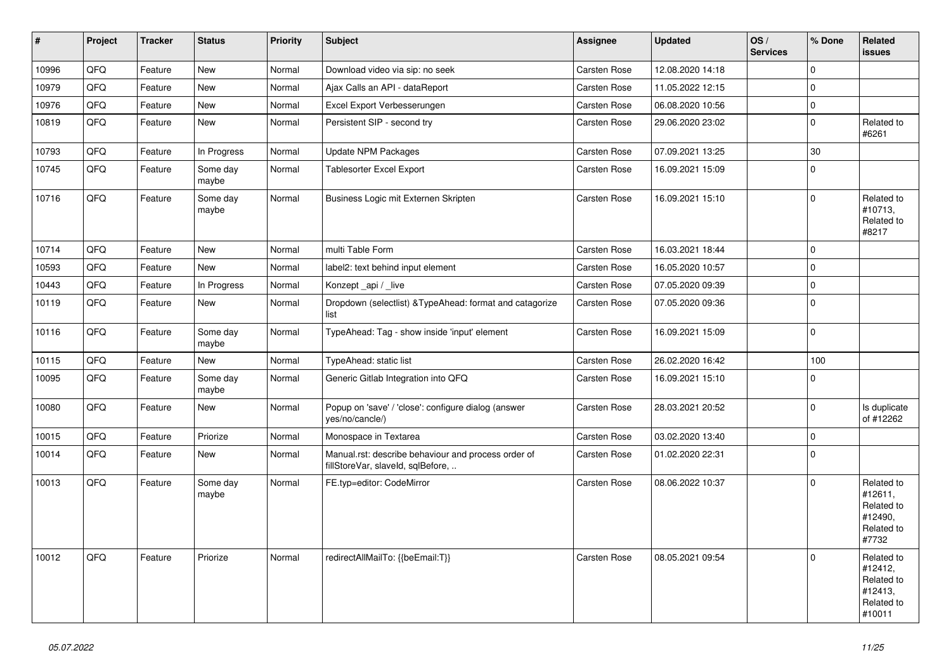| $\vert$ # | Project | <b>Tracker</b> | <b>Status</b>     | <b>Priority</b> | <b>Subject</b>                                                                           | Assignee            | <b>Updated</b>   | OS/<br><b>Services</b> | % Done      | Related<br><b>issues</b>                                               |
|-----------|---------|----------------|-------------------|-----------------|------------------------------------------------------------------------------------------|---------------------|------------------|------------------------|-------------|------------------------------------------------------------------------|
| 10996     | QFQ     | Feature        | <b>New</b>        | Normal          | Download video via sip: no seek                                                          | Carsten Rose        | 12.08.2020 14:18 |                        | $\Omega$    |                                                                        |
| 10979     | QFQ     | Feature        | <b>New</b>        | Normal          | Ajax Calls an API - dataReport                                                           | Carsten Rose        | 11.05.2022 12:15 |                        | $\mathbf 0$ |                                                                        |
| 10976     | QFQ     | Feature        | New               | Normal          | Excel Export Verbesserungen                                                              | Carsten Rose        | 06.08.2020 10:56 |                        | $\mathbf 0$ |                                                                        |
| 10819     | QFQ     | Feature        | New               | Normal          | Persistent SIP - second try                                                              | <b>Carsten Rose</b> | 29.06.2020 23:02 |                        | $\mathbf 0$ | Related to<br>#6261                                                    |
| 10793     | QFQ     | Feature        | In Progress       | Normal          | Update NPM Packages                                                                      | Carsten Rose        | 07.09.2021 13:25 |                        | 30          |                                                                        |
| 10745     | QFQ     | Feature        | Some day<br>maybe | Normal          | Tablesorter Excel Export                                                                 | <b>Carsten Rose</b> | 16.09.2021 15:09 |                        | $\Omega$    |                                                                        |
| 10716     | QFQ     | Feature        | Some day<br>maybe | Normal          | Business Logic mit Externen Skripten                                                     | <b>Carsten Rose</b> | 16.09.2021 15:10 |                        | $\Omega$    | Related to<br>#10713,<br>Related to<br>#8217                           |
| 10714     | QFQ     | Feature        | <b>New</b>        | Normal          | multi Table Form                                                                         | <b>Carsten Rose</b> | 16.03.2021 18:44 |                        | $\Omega$    |                                                                        |
| 10593     | QFQ     | Feature        | New               | Normal          | label2: text behind input element                                                        | <b>Carsten Rose</b> | 16.05.2020 10:57 |                        | $\Omega$    |                                                                        |
| 10443     | QFQ     | Feature        | In Progress       | Normal          | Konzept api / live                                                                       | <b>Carsten Rose</b> | 07.05.2020 09:39 |                        | $\mathbf 0$ |                                                                        |
| 10119     | QFQ     | Feature        | New               | Normal          | Dropdown (selectlist) & TypeAhead: format and catagorize<br>list                         | <b>Carsten Rose</b> | 07.05.2020 09:36 |                        | $\mathbf 0$ |                                                                        |
| 10116     | QFQ     | Feature        | Some day<br>maybe | Normal          | TypeAhead: Tag - show inside 'input' element                                             | Carsten Rose        | 16.09.2021 15:09 |                        | $\mathbf 0$ |                                                                        |
| 10115     | QFQ     | Feature        | New               | Normal          | TypeAhead: static list                                                                   | Carsten Rose        | 26.02.2020 16:42 |                        | 100         |                                                                        |
| 10095     | QFQ     | Feature        | Some day<br>maybe | Normal          | Generic Gitlab Integration into QFQ                                                      | <b>Carsten Rose</b> | 16.09.2021 15:10 |                        | $\Omega$    |                                                                        |
| 10080     | QFQ     | Feature        | New               | Normal          | Popup on 'save' / 'close': configure dialog (answer<br>yes/no/cancle/)                   | <b>Carsten Rose</b> | 28.03.2021 20:52 |                        | $\mathbf 0$ | Is duplicate<br>of #12262                                              |
| 10015     | QFQ     | Feature        | Priorize          | Normal          | Monospace in Textarea                                                                    | Carsten Rose        | 03.02.2020 13:40 |                        | $\mathbf 0$ |                                                                        |
| 10014     | QFQ     | Feature        | New               | Normal          | Manual.rst: describe behaviour and process order of<br>fillStoreVar, slaveId, sqlBefore, | Carsten Rose        | 01.02.2020 22:31 |                        | $\mathbf 0$ |                                                                        |
| 10013     | QFQ     | Feature        | Some day<br>maybe | Normal          | FE.typ=editor: CodeMirror                                                                | <b>Carsten Rose</b> | 08.06.2022 10:37 |                        | $\Omega$    | Related to<br>#12611,<br>Related to<br>#12490,<br>Related to<br>#7732  |
| 10012     | QFQ     | Feature        | Priorize          | Normal          | redirectAllMailTo: {{beEmail:T}}                                                         | <b>Carsten Rose</b> | 08.05.2021 09:54 |                        | $\Omega$    | Related to<br>#12412,<br>Related to<br>#12413,<br>Related to<br>#10011 |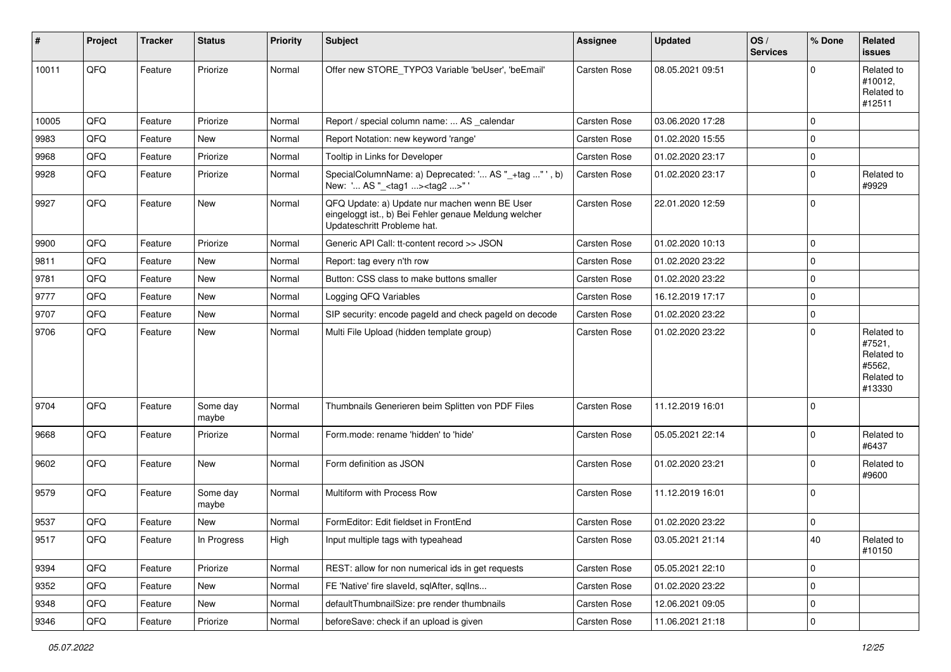| #     | Project | <b>Tracker</b> | <b>Status</b>     | <b>Priority</b> | Subject                                                                                                                               | <b>Assignee</b> | <b>Updated</b>   | OS/<br><b>Services</b> | % Done         | Related<br><b>issues</b>                                             |
|-------|---------|----------------|-------------------|-----------------|---------------------------------------------------------------------------------------------------------------------------------------|-----------------|------------------|------------------------|----------------|----------------------------------------------------------------------|
| 10011 | QFQ     | Feature        | Priorize          | Normal          | Offer new STORE_TYPO3 Variable 'beUser', 'beEmail'                                                                                    | Carsten Rose    | 08.05.2021 09:51 |                        | $\Omega$       | Related to<br>#10012,<br>Related to<br>#12511                        |
| 10005 | QFQ     | Feature        | Priorize          | Normal          | Report / special column name:  AS calendar                                                                                            | Carsten Rose    | 03.06.2020 17:28 |                        | $\mathbf 0$    |                                                                      |
| 9983  | QFQ     | Feature        | New               | Normal          | Report Notation: new keyword 'range'                                                                                                  | Carsten Rose    | 01.02.2020 15:55 |                        | 0              |                                                                      |
| 9968  | QFQ     | Feature        | Priorize          | Normal          | Tooltip in Links for Developer                                                                                                        | Carsten Rose    | 01.02.2020 23:17 |                        | $\mathbf 0$    |                                                                      |
| 9928  | QFQ     | Feature        | Priorize          | Normal          | SpecialColumnName: a) Deprecated: ' AS "_+tag " ', b)<br>New: ' AS "_ <tag1><tag2>"</tag2></tag1>                                     | Carsten Rose    | 01.02.2020 23:17 |                        | $\Omega$       | Related to<br>#9929                                                  |
| 9927  | QFQ     | Feature        | New               | Normal          | QFQ Update: a) Update nur machen wenn BE User<br>eingeloggt ist., b) Bei Fehler genaue Meldung welcher<br>Updateschritt Probleme hat. | Carsten Rose    | 22.01.2020 12:59 |                        | 0              |                                                                      |
| 9900  | QFQ     | Feature        | Priorize          | Normal          | Generic API Call: tt-content record >> JSON                                                                                           | Carsten Rose    | 01.02.2020 10:13 |                        | $\overline{0}$ |                                                                      |
| 9811  | QFQ     | Feature        | New               | Normal          | Report: tag every n'th row                                                                                                            | Carsten Rose    | 01.02.2020 23:22 |                        | $\mathbf 0$    |                                                                      |
| 9781  | QFQ     | Feature        | New               | Normal          | Button: CSS class to make buttons smaller                                                                                             | Carsten Rose    | 01.02.2020 23:22 |                        | $\mathbf 0$    |                                                                      |
| 9777  | QFQ     | Feature        | New               | Normal          | Logging QFQ Variables                                                                                                                 | Carsten Rose    | 16.12.2019 17:17 |                        | $\mathbf 0$    |                                                                      |
| 9707  | QFQ     | Feature        | New               | Normal          | SIP security: encode pageld and check pageld on decode                                                                                | Carsten Rose    | 01.02.2020 23:22 |                        | 0              |                                                                      |
| 9706  | QFQ     | Feature        | New               | Normal          | Multi File Upload (hidden template group)                                                                                             | Carsten Rose    | 01.02.2020 23:22 |                        | $\mathbf 0$    | Related to<br>#7521,<br>Related to<br>#5562,<br>Related to<br>#13330 |
| 9704  | QFQ     | Feature        | Some day<br>maybe | Normal          | Thumbnails Generieren beim Splitten von PDF Files                                                                                     | Carsten Rose    | 11.12.2019 16:01 |                        | 0              |                                                                      |
| 9668  | QFQ     | Feature        | Priorize          | Normal          | Form.mode: rename 'hidden' to 'hide'                                                                                                  | Carsten Rose    | 05.05.2021 22:14 |                        | $\mathbf 0$    | Related to<br>#6437                                                  |
| 9602  | QFQ     | Feature        | New               | Normal          | Form definition as JSON                                                                                                               | Carsten Rose    | 01.02.2020 23:21 |                        | 0              | Related to<br>#9600                                                  |
| 9579  | QFQ     | Feature        | Some day<br>maybe | Normal          | Multiform with Process Row                                                                                                            | Carsten Rose    | 11.12.2019 16:01 |                        | $\Omega$       |                                                                      |
| 9537  | QFQ     | Feature        | New               | Normal          | FormEditor: Edit fieldset in FrontEnd                                                                                                 | Carsten Rose    | 01.02.2020 23:22 |                        | 0              |                                                                      |
| 9517  | QFQ     | Feature        | In Progress       | High            | Input multiple tags with typeahead                                                                                                    | Carsten Rose    | 03.05.2021 21:14 |                        | 40             | Related to<br>#10150                                                 |
| 9394  | QFQ     | Feature        | Priorize          | Normal          | REST: allow for non numerical ids in get requests                                                                                     | Carsten Rose    | 05.05.2021 22:10 |                        | 0              |                                                                      |
| 9352  | QFQ     | Feature        | New               | Normal          | FE 'Native' fire slaveld, sqlAfter, sqlIns                                                                                            | Carsten Rose    | 01.02.2020 23:22 |                        | 0              |                                                                      |
| 9348  | QFQ     | Feature        | New               | Normal          | defaultThumbnailSize: pre render thumbnails                                                                                           | Carsten Rose    | 12.06.2021 09:05 |                        | 0              |                                                                      |
| 9346  | QFQ     | Feature        | Priorize          | Normal          | beforeSave: check if an upload is given                                                                                               | Carsten Rose    | 11.06.2021 21:18 |                        | $\pmb{0}$      |                                                                      |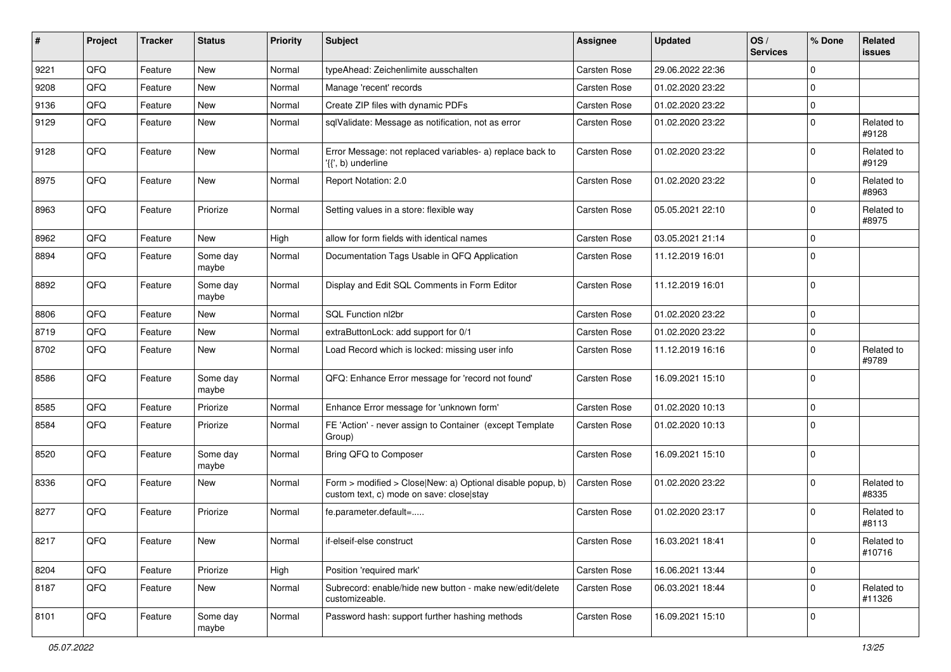| #    | Project | <b>Tracker</b> | <b>Status</b>     | <b>Priority</b> | Subject                                                                                                | Assignee     | <b>Updated</b>   | OS/<br><b>Services</b> | % Done         | Related<br><b>issues</b> |
|------|---------|----------------|-------------------|-----------------|--------------------------------------------------------------------------------------------------------|--------------|------------------|------------------------|----------------|--------------------------|
| 9221 | QFQ     | Feature        | New               | Normal          | typeAhead: Zeichenlimite ausschalten                                                                   | Carsten Rose | 29.06.2022 22:36 |                        | $\Omega$       |                          |
| 9208 | QFQ     | Feature        | New               | Normal          | Manage 'recent' records                                                                                | Carsten Rose | 01.02.2020 23:22 |                        | 0              |                          |
| 9136 | QFQ     | Feature        | New               | Normal          | Create ZIP files with dynamic PDFs                                                                     | Carsten Rose | 01.02.2020 23:22 |                        | $\mathbf 0$    |                          |
| 9129 | QFQ     | Feature        | New               | Normal          | sqlValidate: Message as notification, not as error                                                     | Carsten Rose | 01.02.2020 23:22 |                        | $\mathbf 0$    | Related to<br>#9128      |
| 9128 | QFQ     | Feature        | New               | Normal          | Error Message: not replaced variables- a) replace back to<br>'{{', b) underline                        | Carsten Rose | 01.02.2020 23:22 |                        | $\Omega$       | Related to<br>#9129      |
| 8975 | QFQ     | Feature        | New               | Normal          | Report Notation: 2.0                                                                                   | Carsten Rose | 01.02.2020 23:22 |                        | $\Omega$       | Related to<br>#8963      |
| 8963 | QFQ     | Feature        | Priorize          | Normal          | Setting values in a store: flexible way                                                                | Carsten Rose | 05.05.2021 22:10 |                        | $\mathbf 0$    | Related to<br>#8975      |
| 8962 | QFQ     | Feature        | New               | High            | allow for form fields with identical names                                                             | Carsten Rose | 03.05.2021 21:14 |                        | $\mathbf 0$    |                          |
| 8894 | QFQ     | Feature        | Some day<br>maybe | Normal          | Documentation Tags Usable in QFQ Application                                                           | Carsten Rose | 11.12.2019 16:01 |                        | $\overline{0}$ |                          |
| 8892 | QFQ     | Feature        | Some day<br>maybe | Normal          | Display and Edit SQL Comments in Form Editor                                                           | Carsten Rose | 11.12.2019 16:01 |                        | $\mathbf 0$    |                          |
| 8806 | QFQ     | Feature        | New               | Normal          | SQL Function nl2br                                                                                     | Carsten Rose | 01.02.2020 23:22 |                        | $\mathbf 0$    |                          |
| 8719 | QFQ     | Feature        | New               | Normal          | extraButtonLock: add support for 0/1                                                                   | Carsten Rose | 01.02.2020 23:22 |                        | $\mathbf 0$    |                          |
| 8702 | QFQ     | Feature        | New               | Normal          | Load Record which is locked: missing user info                                                         | Carsten Rose | 11.12.2019 16:16 |                        | $\mathbf 0$    | Related to<br>#9789      |
| 8586 | QFQ     | Feature        | Some day<br>maybe | Normal          | QFQ: Enhance Error message for 'record not found'                                                      | Carsten Rose | 16.09.2021 15:10 |                        | $\mathbf 0$    |                          |
| 8585 | QFQ     | Feature        | Priorize          | Normal          | Enhance Error message for 'unknown form'                                                               | Carsten Rose | 01.02.2020 10:13 |                        | $\mathbf 0$    |                          |
| 8584 | QFQ     | Feature        | Priorize          | Normal          | FE 'Action' - never assign to Container (except Template<br>Group)                                     | Carsten Rose | 01.02.2020 10:13 |                        | $\Omega$       |                          |
| 8520 | QFQ     | Feature        | Some day<br>maybe | Normal          | Bring QFQ to Composer                                                                                  | Carsten Rose | 16.09.2021 15:10 |                        | $\mathbf 0$    |                          |
| 8336 | QFQ     | Feature        | New               | Normal          | Form > modified > Close New: a) Optional disable popup, b)<br>custom text, c) mode on save: close stay | Carsten Rose | 01.02.2020 23:22 |                        | $\Omega$       | Related to<br>#8335      |
| 8277 | QFQ     | Feature        | Priorize          | Normal          | fe.parameter.default=                                                                                  | Carsten Rose | 01.02.2020 23:17 |                        | $\mathbf 0$    | Related to<br>#8113      |
| 8217 | QFQ     | Feature        | New               | Normal          | if-elseif-else construct                                                                               | Carsten Rose | 16.03.2021 18:41 |                        | 0              | Related to<br>#10716     |
| 8204 | QFQ     | Feature        | Priorize          | High            | Position 'required mark'                                                                               | Carsten Rose | 16.06.2021 13:44 |                        | $\overline{0}$ |                          |
| 8187 | QFQ     | Feature        | New               | Normal          | Subrecord: enable/hide new button - make new/edit/delete<br>customizeable.                             | Carsten Rose | 06.03.2021 18:44 |                        | 0              | Related to<br>#11326     |
| 8101 | QFQ     | Feature        | Some day<br>maybe | Normal          | Password hash: support further hashing methods                                                         | Carsten Rose | 16.09.2021 15:10 |                        | 0              |                          |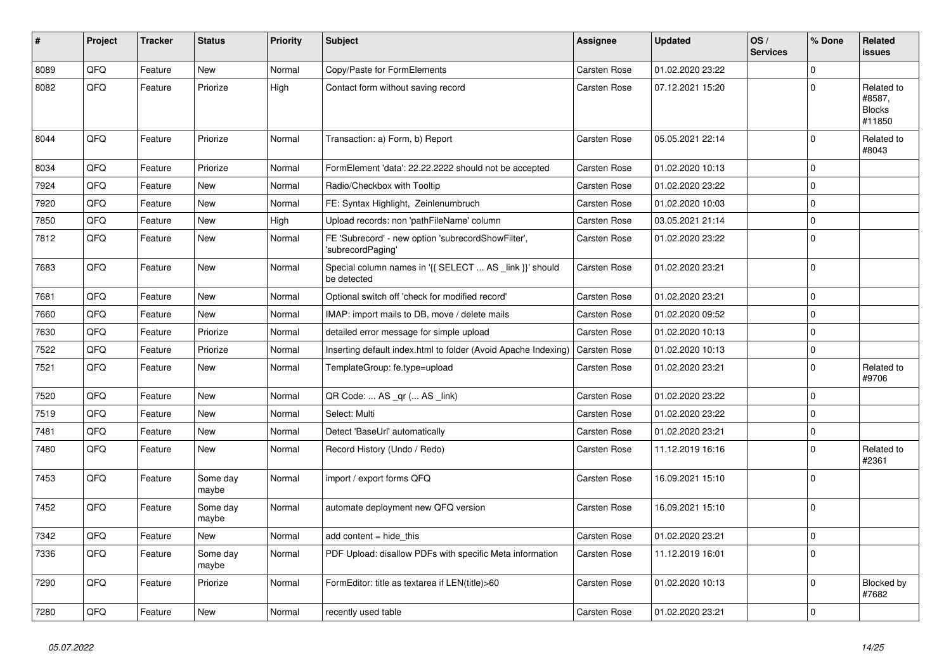| #    | Project | <b>Tracker</b> | <b>Status</b>     | <b>Priority</b> | <b>Subject</b>                                                          | Assignee     | <b>Updated</b>   | OS/<br><b>Services</b> | % Done              | Related<br><b>issues</b>                        |
|------|---------|----------------|-------------------|-----------------|-------------------------------------------------------------------------|--------------|------------------|------------------------|---------------------|-------------------------------------------------|
| 8089 | QFQ     | Feature        | <b>New</b>        | Normal          | Copy/Paste for FormElements                                             | Carsten Rose | 01.02.2020 23:22 |                        | $\mathbf 0$         |                                                 |
| 8082 | QFQ     | Feature        | Priorize          | High            | Contact form without saving record                                      | Carsten Rose | 07.12.2021 15:20 |                        | $\Omega$            | Related to<br>#8587,<br><b>Blocks</b><br>#11850 |
| 8044 | QFQ     | Feature        | Priorize          | Normal          | Transaction: a) Form, b) Report                                         | Carsten Rose | 05.05.2021 22:14 |                        | $\mathbf 0$         | Related to<br>#8043                             |
| 8034 | QFQ     | Feature        | Priorize          | Normal          | FormElement 'data': 22.22.2222 should not be accepted                   | Carsten Rose | 01.02.2020 10:13 |                        | $\mathbf 0$         |                                                 |
| 7924 | QFQ     | Feature        | New               | Normal          | Radio/Checkbox with Tooltip                                             | Carsten Rose | 01.02.2020 23:22 |                        | $\mathbf 0$         |                                                 |
| 7920 | QFQ     | Feature        | New               | Normal          | FE: Syntax Highlight, Zeinlenumbruch                                    | Carsten Rose | 01.02.2020 10:03 |                        | $\mathbf 0$         |                                                 |
| 7850 | QFQ     | Feature        | New               | High            | Upload records: non 'pathFileName' column                               | Carsten Rose | 03.05.2021 21:14 |                        | $\mathsf{O}\xspace$ |                                                 |
| 7812 | QFO     | Feature        | New               | Normal          | FE 'Subrecord' - new option 'subrecordShowFilter',<br>'subrecordPaging' | Carsten Rose | 01.02.2020 23:22 |                        | $\mathbf 0$         |                                                 |
| 7683 | QFQ     | Feature        | New               | Normal          | Special column names in '{{ SELECT  AS _link }}' should<br>be detected  | Carsten Rose | 01.02.2020 23:21 |                        | $\mathbf 0$         |                                                 |
| 7681 | QFQ     | Feature        | New               | Normal          | Optional switch off 'check for modified record'                         | Carsten Rose | 01.02.2020 23:21 |                        | $\mathbf 0$         |                                                 |
| 7660 | QFQ     | Feature        | New               | Normal          | IMAP: import mails to DB, move / delete mails                           | Carsten Rose | 01.02.2020 09:52 |                        | $\pmb{0}$           |                                                 |
| 7630 | QFQ     | Feature        | Priorize          | Normal          | detailed error message for simple upload                                | Carsten Rose | 01.02.2020 10:13 |                        | $\pmb{0}$           |                                                 |
| 7522 | QFQ     | Feature        | Priorize          | Normal          | Inserting default index.html to folder (Avoid Apache Indexing)          | Carsten Rose | 01.02.2020 10:13 |                        | $\mathsf{O}\xspace$ |                                                 |
| 7521 | QFQ     | Feature        | New               | Normal          | TemplateGroup: fe.type=upload                                           | Carsten Rose | 01.02.2020 23:21 |                        | $\mathsf{O}\xspace$ | Related to<br>#9706                             |
| 7520 | QFQ     | Feature        | <b>New</b>        | Normal          | QR Code:  AS _qr ( AS _link)                                            | Carsten Rose | 01.02.2020 23:22 |                        | $\mathbf 0$         |                                                 |
| 7519 | QFQ     | Feature        | <b>New</b>        | Normal          | Select: Multi                                                           | Carsten Rose | 01.02.2020 23:22 |                        | $\mathbf 0$         |                                                 |
| 7481 | QFQ     | Feature        | New               | Normal          | Detect 'BaseUrl' automatically                                          | Carsten Rose | 01.02.2020 23:21 |                        | $\mathsf{O}\xspace$ |                                                 |
| 7480 | QFQ     | Feature        | New               | Normal          | Record History (Undo / Redo)                                            | Carsten Rose | 11.12.2019 16:16 |                        | $\mathbf 0$         | Related to<br>#2361                             |
| 7453 | QFQ     | Feature        | Some day<br>maybe | Normal          | import / export forms QFQ                                               | Carsten Rose | 16.09.2021 15:10 |                        | $\mathbf 0$         |                                                 |
| 7452 | QFQ     | Feature        | Some day<br>maybe | Normal          | automate deployment new QFQ version                                     | Carsten Rose | 16.09.2021 15:10 |                        | $\mathbf 0$         |                                                 |
| 7342 | QFQ     | Feature        | New               | Normal          | add content = hide this                                                 | Carsten Rose | 01.02.2020 23:21 |                        | $\mathsf{O}\xspace$ |                                                 |
| 7336 | QFQ     | Feature        | Some day<br>maybe | Normal          | PDF Upload: disallow PDFs with specific Meta information                | Carsten Rose | 11.12.2019 16:01 |                        | $\mathbf 0$         |                                                 |
| 7290 | QFQ     | Feature        | Priorize          | Normal          | FormEditor: title as textarea if LEN(title)>60                          | Carsten Rose | 01.02.2020 10:13 |                        | $\mathbf 0$         | Blocked by<br>#7682                             |
| 7280 | QFQ     | Feature        | New               | Normal          | recently used table                                                     | Carsten Rose | 01.02.2020 23:21 |                        | $\mathbf 0$         |                                                 |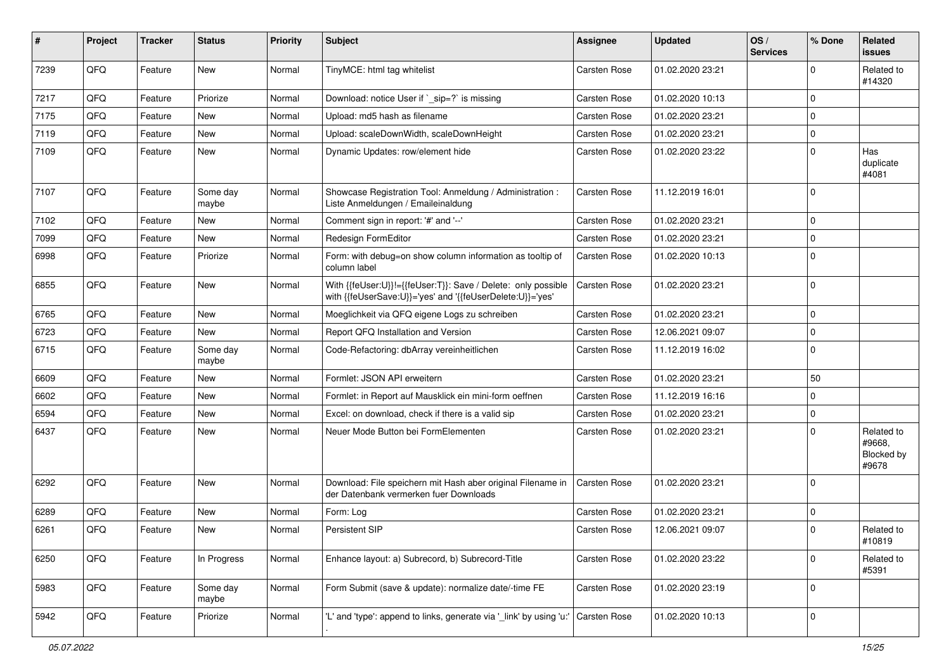| #    | Project | <b>Tracker</b> | <b>Status</b>     | <b>Priority</b> | Subject                                                                                                                    | Assignee            | <b>Updated</b>   | OS/<br><b>Services</b> | % Done      | Related<br><b>issues</b>                    |
|------|---------|----------------|-------------------|-----------------|----------------------------------------------------------------------------------------------------------------------------|---------------------|------------------|------------------------|-------------|---------------------------------------------|
| 7239 | QFQ     | Feature        | New               | Normal          | TinyMCE: html tag whitelist                                                                                                | Carsten Rose        | 01.02.2020 23:21 |                        | $\Omega$    | Related to<br>#14320                        |
| 7217 | QFQ     | Feature        | Priorize          | Normal          | Download: notice User if `_sip=?` is missing                                                                               | Carsten Rose        | 01.02.2020 10:13 |                        | $\mathbf 0$ |                                             |
| 7175 | QFQ     | Feature        | <b>New</b>        | Normal          | Upload: md5 hash as filename                                                                                               | Carsten Rose        | 01.02.2020 23:21 |                        | $\Omega$    |                                             |
| 7119 | QFQ     | Feature        | New               | Normal          | Upload: scaleDownWidth, scaleDownHeight                                                                                    | Carsten Rose        | 01.02.2020 23:21 |                        | $\Omega$    |                                             |
| 7109 | QFQ     | Feature        | New               | Normal          | Dynamic Updates: row/element hide                                                                                          | Carsten Rose        | 01.02.2020 23:22 |                        | $\Omega$    | Has<br>duplicate<br>#4081                   |
| 7107 | QFQ     | Feature        | Some day<br>maybe | Normal          | Showcase Registration Tool: Anmeldung / Administration :<br>Liste Anmeldungen / Emaileinaldung                             | <b>Carsten Rose</b> | 11.12.2019 16:01 |                        | $\mathbf 0$ |                                             |
| 7102 | QFQ     | Feature        | New               | Normal          | Comment sign in report: '#' and '--'                                                                                       | Carsten Rose        | 01.02.2020 23:21 |                        | $\Omega$    |                                             |
| 7099 | QFQ     | Feature        | New               | Normal          | Redesign FormEditor                                                                                                        | Carsten Rose        | 01.02.2020 23:21 |                        | $\Omega$    |                                             |
| 6998 | QFQ     | Feature        | Priorize          | Normal          | Form: with debug=on show column information as tooltip of<br>column label                                                  | Carsten Rose        | 01.02.2020 10:13 |                        | $\Omega$    |                                             |
| 6855 | QFQ     | Feature        | New               | Normal          | With {{feUser:U}}!={{feUser:T}}: Save / Delete: only possible<br>with {{feUserSave:U}}='yes' and '{{feUserDelete:U}}='yes' | Carsten Rose        | 01.02.2020 23:21 |                        | $\mathbf 0$ |                                             |
| 6765 | QFQ     | Feature        | New               | Normal          | Moeglichkeit via QFQ eigene Logs zu schreiben                                                                              | Carsten Rose        | 01.02.2020 23:21 |                        | $\mathbf 0$ |                                             |
| 6723 | QFQ     | Feature        | New               | Normal          | Report QFQ Installation and Version                                                                                        | Carsten Rose        | 12.06.2021 09:07 |                        | 0           |                                             |
| 6715 | QFQ     | Feature        | Some day<br>maybe | Normal          | Code-Refactoring: dbArray vereinheitlichen                                                                                 | Carsten Rose        | 11.12.2019 16:02 |                        | $\mathbf 0$ |                                             |
| 6609 | QFQ     | Feature        | New               | Normal          | Formlet: JSON API erweitern                                                                                                | Carsten Rose        | 01.02.2020 23:21 |                        | 50          |                                             |
| 6602 | QFQ     | Feature        | New               | Normal          | Formlet: in Report auf Mausklick ein mini-form oeffnen                                                                     | Carsten Rose        | 11.12.2019 16:16 |                        | $\mathbf 0$ |                                             |
| 6594 | QFQ     | Feature        | New               | Normal          | Excel: on download, check if there is a valid sip                                                                          | Carsten Rose        | 01.02.2020 23:21 |                        | $\Omega$    |                                             |
| 6437 | QFQ     | Feature        | New               | Normal          | Neuer Mode Button bei FormElementen                                                                                        | Carsten Rose        | 01.02.2020 23:21 |                        | $\Omega$    | Related to<br>#9668,<br>Blocked by<br>#9678 |
| 6292 | QFQ     | Feature        | New               | Normal          | Download: File speichern mit Hash aber original Filename in<br>der Datenbank vermerken fuer Downloads                      | <b>Carsten Rose</b> | 01.02.2020 23:21 |                        | $\Omega$    |                                             |
| 6289 | QFQ     | Feature        | New               | Normal          | Form: Log                                                                                                                  | Carsten Rose        | 01.02.2020 23:21 |                        | $\Omega$    |                                             |
| 6261 | QFQ     | Feature        | New               | Normal          | Persistent SIP                                                                                                             | Carsten Rose        | 12.06.2021 09:07 |                        | $\mathbf 0$ | Related to<br>#10819                        |
| 6250 | QFQ     | Feature        | In Progress       | Normal          | Enhance layout: a) Subrecord, b) Subrecord-Title                                                                           | Carsten Rose        | 01.02.2020 23:22 |                        | $\mathbf 0$ | Related to<br>#5391                         |
| 5983 | QFO     | Feature        | Some day<br>maybe | Normal          | Form Submit (save & update): normalize date/-time FE                                                                       | Carsten Rose        | 01.02.2020 23:19 |                        | 0           |                                             |
| 5942 | QFQ     | Feature        | Priorize          | Normal          | 'L' and 'type': append to links, generate via 'link' by using 'u:'                                                         | Carsten Rose        | 01.02.2020 10:13 |                        | 0           |                                             |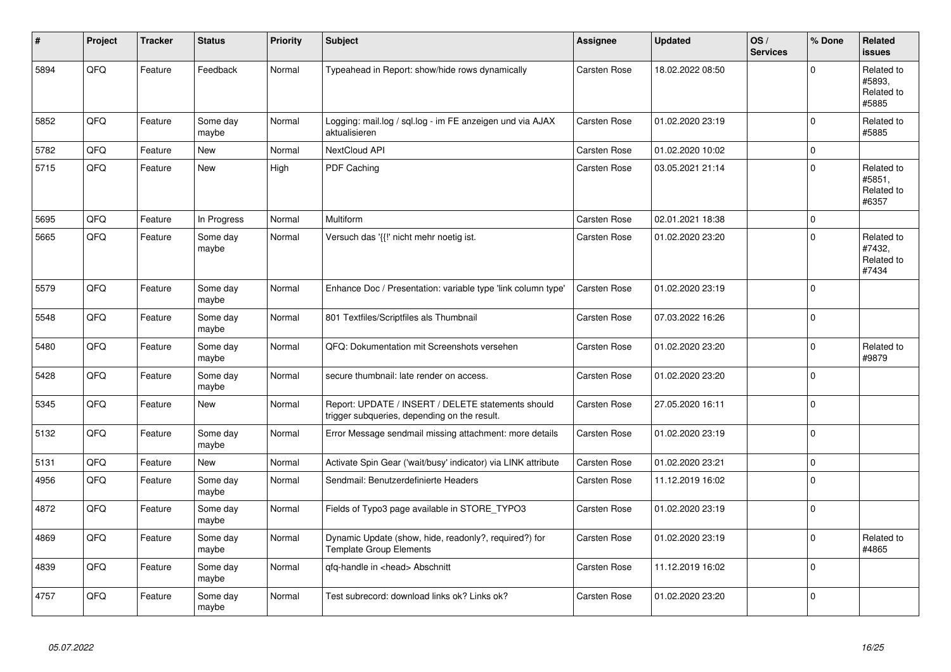| #    | Project | <b>Tracker</b> | <b>Status</b>     | <b>Priority</b> | <b>Subject</b>                                                                                     | Assignee            | <b>Updated</b>   | OS/<br><b>Services</b> | % Done      | Related<br><b>issues</b>                    |
|------|---------|----------------|-------------------|-----------------|----------------------------------------------------------------------------------------------------|---------------------|------------------|------------------------|-------------|---------------------------------------------|
| 5894 | QFQ     | Feature        | Feedback          | Normal          | Typeahead in Report: show/hide rows dynamically                                                    | Carsten Rose        | 18.02.2022 08:50 |                        | $\Omega$    | Related to<br>#5893.<br>Related to<br>#5885 |
| 5852 | QFQ     | Feature        | Some day<br>maybe | Normal          | Logging: mail.log / sql.log - im FE anzeigen und via AJAX<br>aktualisieren                         | Carsten Rose        | 01.02.2020 23:19 |                        | $\mathbf 0$ | Related to<br>#5885                         |
| 5782 | QFQ     | Feature        | <b>New</b>        | Normal          | NextCloud API                                                                                      | Carsten Rose        | 01.02.2020 10:02 |                        | $\mathbf 0$ |                                             |
| 5715 | QFQ     | Feature        | New               | High            | PDF Caching                                                                                        | Carsten Rose        | 03.05.2021 21:14 |                        | $\mathbf 0$ | Related to<br>#5851,<br>Related to<br>#6357 |
| 5695 | QFQ     | Feature        | In Progress       | Normal          | Multiform                                                                                          | Carsten Rose        | 02.01.2021 18:38 |                        | $\mathbf 0$ |                                             |
| 5665 | QFQ     | Feature        | Some day<br>maybe | Normal          | Versuch das '{{!' nicht mehr noetig ist.                                                           | <b>Carsten Rose</b> | 01.02.2020 23:20 |                        | $\Omega$    | Related to<br>#7432,<br>Related to<br>#7434 |
| 5579 | QFQ     | Feature        | Some day<br>maybe | Normal          | Enhance Doc / Presentation: variable type 'link column type'                                       | Carsten Rose        | 01.02.2020 23:19 |                        | $\Omega$    |                                             |
| 5548 | QFQ     | Feature        | Some day<br>maybe | Normal          | 801 Textfiles/Scriptfiles als Thumbnail                                                            | Carsten Rose        | 07.03.2022 16:26 |                        | $\mathbf 0$ |                                             |
| 5480 | QFQ     | Feature        | Some day<br>maybe | Normal          | QFQ: Dokumentation mit Screenshots versehen                                                        | Carsten Rose        | 01.02.2020 23:20 |                        | $\mathbf 0$ | Related to<br>#9879                         |
| 5428 | QFQ     | Feature        | Some day<br>maybe | Normal          | secure thumbnail: late render on access.                                                           | Carsten Rose        | 01.02.2020 23:20 |                        | $\mathbf 0$ |                                             |
| 5345 | QFQ     | Feature        | New               | Normal          | Report: UPDATE / INSERT / DELETE statements should<br>trigger subqueries, depending on the result. | <b>Carsten Rose</b> | 27.05.2020 16:11 |                        | $\pmb{0}$   |                                             |
| 5132 | QFQ     | Feature        | Some day<br>maybe | Normal          | Error Message sendmail missing attachment: more details                                            | <b>Carsten Rose</b> | 01.02.2020 23:19 |                        | $\mathbf 0$ |                                             |
| 5131 | QFQ     | Feature        | <b>New</b>        | Normal          | Activate Spin Gear ('wait/busy' indicator) via LINK attribute                                      | Carsten Rose        | 01.02.2020 23:21 |                        | $\mathbf 0$ |                                             |
| 4956 | QFQ     | Feature        | Some day<br>maybe | Normal          | Sendmail: Benutzerdefinierte Headers                                                               | Carsten Rose        | 11.12.2019 16:02 |                        | $\mathbf 0$ |                                             |
| 4872 | QFQ     | Feature        | Some day<br>maybe | Normal          | Fields of Typo3 page available in STORE_TYPO3                                                      | Carsten Rose        | 01.02.2020 23:19 |                        | $\Omega$    |                                             |
| 4869 | QFQ     | Feature        | Some day<br>maybe | Normal          | Dynamic Update (show, hide, readonly?, required?) for<br><b>Template Group Elements</b>            | <b>Carsten Rose</b> | 01.02.2020 23:19 |                        | $\mathbf 0$ | Related to<br>#4865                         |
| 4839 | QFQ     | Feature        | Some day<br>maybe | Normal          | qfq-handle in <head> Abschnitt</head>                                                              | <b>Carsten Rose</b> | 11.12.2019 16:02 |                        | $\mathbf 0$ |                                             |
| 4757 | QFQ     | Feature        | Some day<br>maybe | Normal          | Test subrecord: download links ok? Links ok?                                                       | <b>Carsten Rose</b> | 01.02.2020 23:20 |                        | $\mathbf 0$ |                                             |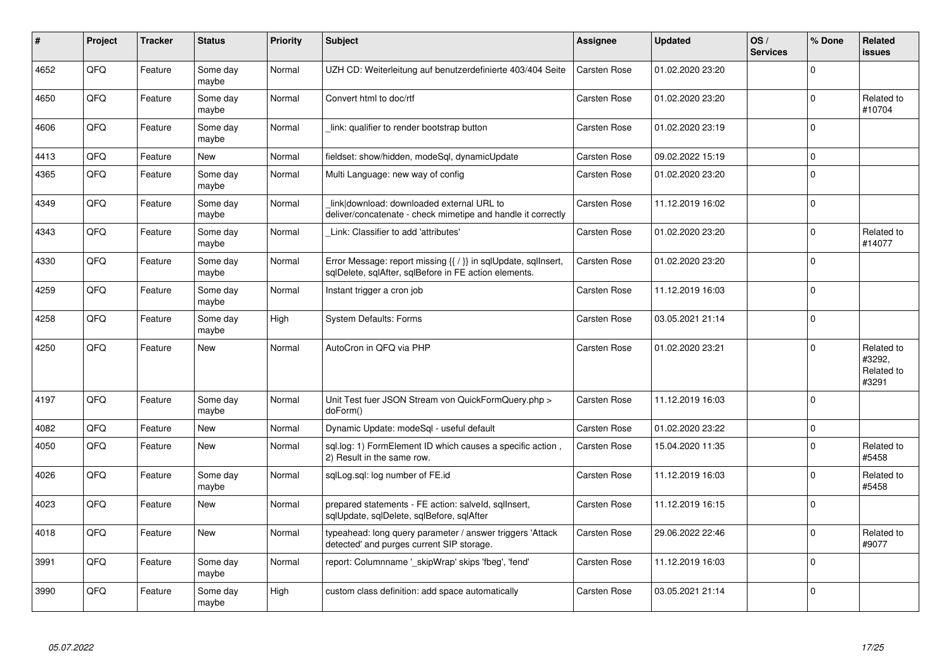| $\pmb{\sharp}$ | Project | <b>Tracker</b> | <b>Status</b>     | <b>Priority</b> | <b>Subject</b>                                                                                                          | Assignee            | <b>Updated</b>   | OS/<br><b>Services</b> | % Done   | Related<br><b>issues</b>                    |
|----------------|---------|----------------|-------------------|-----------------|-------------------------------------------------------------------------------------------------------------------------|---------------------|------------------|------------------------|----------|---------------------------------------------|
| 4652           | QFQ     | Feature        | Some day<br>maybe | Normal          | UZH CD: Weiterleitung auf benutzerdefinierte 403/404 Seite                                                              | <b>Carsten Rose</b> | 01.02.2020 23:20 |                        | $\Omega$ |                                             |
| 4650           | QFQ     | Feature        | Some day<br>maybe | Normal          | Convert html to doc/rtf                                                                                                 | Carsten Rose        | 01.02.2020 23:20 |                        | $\Omega$ | Related to<br>#10704                        |
| 4606           | QFQ     | Feature        | Some day<br>maybe | Normal          | link: qualifier to render bootstrap button                                                                              | Carsten Rose        | 01.02.2020 23:19 |                        | $\Omega$ |                                             |
| 4413           | QFQ     | Feature        | <b>New</b>        | Normal          | fieldset: show/hidden, modeSql, dynamicUpdate                                                                           | <b>Carsten Rose</b> | 09.02.2022 15:19 |                        | $\Omega$ |                                             |
| 4365           | QFQ     | Feature        | Some day<br>maybe | Normal          | Multi Language: new way of config                                                                                       | Carsten Rose        | 01.02.2020 23:20 |                        | $\Omega$ |                                             |
| 4349           | QFQ     | Feature        | Some day<br>maybe | Normal          | link download: downloaded external URL to<br>deliver/concatenate - check mimetipe and handle it correctly               | <b>Carsten Rose</b> | 11.12.2019 16:02 |                        | $\Omega$ |                                             |
| 4343           | QFQ     | Feature        | Some day<br>maybe | Normal          | Link: Classifier to add 'attributes'                                                                                    | Carsten Rose        | 01.02.2020 23:20 |                        | $\Omega$ | Related to<br>#14077                        |
| 4330           | QFQ     | Feature        | Some day<br>maybe | Normal          | Error Message: report missing {{ / }} in sqlUpdate, sqlInsert,<br>sqlDelete, sqlAfter, sqlBefore in FE action elements. | Carsten Rose        | 01.02.2020 23:20 |                        | $\Omega$ |                                             |
| 4259           | QFQ     | Feature        | Some day<br>maybe | Normal          | Instant trigger a cron job                                                                                              | Carsten Rose        | 11.12.2019 16:03 |                        | $\Omega$ |                                             |
| 4258           | QFQ     | Feature        | Some day<br>maybe | High            | <b>System Defaults: Forms</b>                                                                                           | Carsten Rose        | 03.05.2021 21:14 |                        | $\Omega$ |                                             |
| 4250           | QFQ     | Feature        | New               | Normal          | AutoCron in QFQ via PHP                                                                                                 | Carsten Rose        | 01.02.2020 23:21 |                        | $\Omega$ | Related to<br>#3292,<br>Related to<br>#3291 |
| 4197           | QFQ     | Feature        | Some day<br>maybe | Normal          | Unit Test fuer JSON Stream von QuickFormQuery.php ><br>doForm()                                                         | Carsten Rose        | 11.12.2019 16:03 |                        | $\Omega$ |                                             |
| 4082           | QFQ     | Feature        | New               | Normal          | Dynamic Update: modeSql - useful default                                                                                | <b>Carsten Rose</b> | 01.02.2020 23:22 |                        | 0        |                                             |
| 4050           | QFQ     | Feature        | New               | Normal          | sql.log: 1) FormElement ID which causes a specific action,<br>2) Result in the same row.                                | <b>Carsten Rose</b> | 15.04.2020 11:35 |                        | $\Omega$ | Related to<br>#5458                         |
| 4026           | QFQ     | Feature        | Some day<br>maybe | Normal          | sqlLog.sql: log number of FE.id                                                                                         | Carsten Rose        | 11.12.2019 16:03 |                        | $\Omega$ | Related to<br>#5458                         |
| 4023           | QFQ     | Feature        | New               | Normal          | prepared statements - FE action: salveld, sgllnsert,<br>sqlUpdate, sqlDelete, sqlBefore, sqlAfter                       | Carsten Rose        | 11.12.2019 16:15 |                        | $\Omega$ |                                             |
| 4018           | QFQ     | Feature        | New               | Normal          | typeahead: long query parameter / answer triggers 'Attack<br>detected' and purges current SIP storage.                  | <b>Carsten Rose</b> | 29.06.2022 22:46 |                        | $\Omega$ | Related to<br>#9077                         |
| 3991           | QFQ     | Feature        | Some day<br>maybe | Normal          | report: Columnname '_skipWrap' skips 'fbeg', 'fend'                                                                     | Carsten Rose        | 11.12.2019 16:03 |                        | $\Omega$ |                                             |
| 3990           | QFQ     | Feature        | Some day<br>maybe | High            | custom class definition: add space automatically                                                                        | Carsten Rose        | 03.05.2021 21:14 |                        | $\Omega$ |                                             |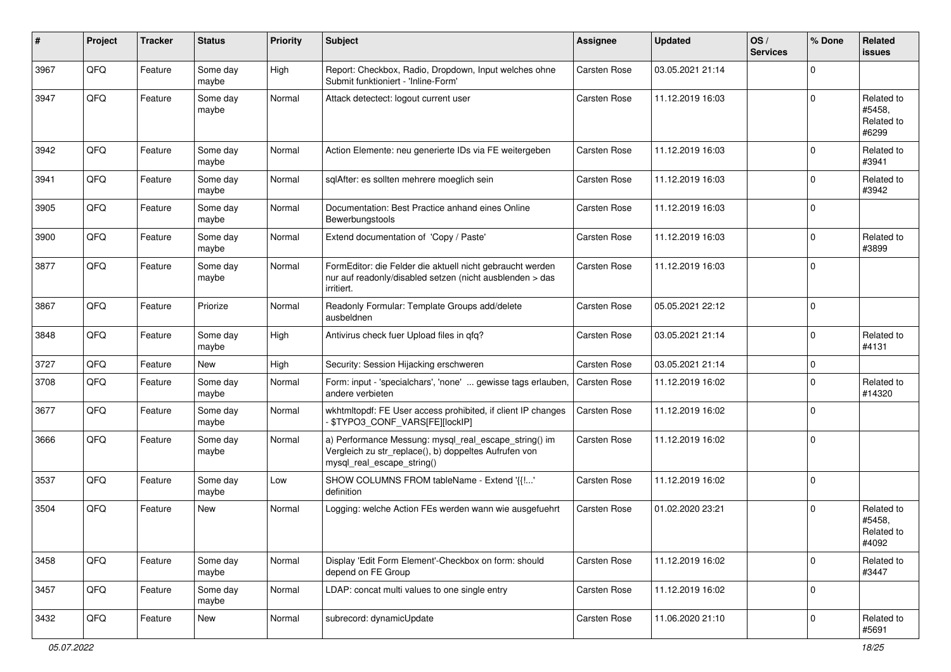| ∦    | Project | <b>Tracker</b> | <b>Status</b>     | <b>Priority</b> | Subject                                                                                                                                      | <b>Assignee</b>     | <b>Updated</b>   | OS/<br><b>Services</b> | % Done      | Related<br>issues                           |
|------|---------|----------------|-------------------|-----------------|----------------------------------------------------------------------------------------------------------------------------------------------|---------------------|------------------|------------------------|-------------|---------------------------------------------|
| 3967 | QFQ     | Feature        | Some day<br>maybe | High            | Report: Checkbox, Radio, Dropdown, Input welches ohne<br>Submit funktioniert - 'Inline-Form'                                                 | Carsten Rose        | 03.05.2021 21:14 |                        | $\mathbf 0$ |                                             |
| 3947 | QFQ     | Feature        | Some day<br>maybe | Normal          | Attack detectect: logout current user                                                                                                        | Carsten Rose        | 11.12.2019 16:03 |                        | $\Omega$    | Related to<br>#5458,<br>Related to<br>#6299 |
| 3942 | QFQ     | Feature        | Some day<br>maybe | Normal          | Action Elemente: neu generierte IDs via FE weitergeben                                                                                       | <b>Carsten Rose</b> | 11.12.2019 16:03 |                        | $\mathbf 0$ | Related to<br>#3941                         |
| 3941 | QFQ     | Feature        | Some day<br>maybe | Normal          | sqlAfter: es sollten mehrere moeglich sein                                                                                                   | Carsten Rose        | 11.12.2019 16:03 |                        | $\mathbf 0$ | Related to<br>#3942                         |
| 3905 | QFQ     | Feature        | Some day<br>maybe | Normal          | Documentation: Best Practice anhand eines Online<br>Bewerbungstools                                                                          | Carsten Rose        | 11.12.2019 16:03 |                        | $\mathbf 0$ |                                             |
| 3900 | QFQ     | Feature        | Some day<br>maybe | Normal          | Extend documentation of 'Copy / Paste'                                                                                                       | Carsten Rose        | 11.12.2019 16:03 |                        | $\mathbf 0$ | Related to<br>#3899                         |
| 3877 | QFQ     | Feature        | Some day<br>maybe | Normal          | FormEditor: die Felder die aktuell nicht gebraucht werden<br>nur auf readonly/disabled setzen (nicht ausblenden > das<br>irritiert.          | Carsten Rose        | 11.12.2019 16:03 |                        | $\mathbf 0$ |                                             |
| 3867 | QFQ     | Feature        | Priorize          | Normal          | Readonly Formular: Template Groups add/delete<br>ausbeldnen                                                                                  | Carsten Rose        | 05.05.2021 22:12 |                        | $\mathbf 0$ |                                             |
| 3848 | QFQ     | Feature        | Some day<br>maybe | High            | Antivirus check fuer Upload files in qfq?                                                                                                    | Carsten Rose        | 03.05.2021 21:14 |                        | $\mathbf 0$ | Related to<br>#4131                         |
| 3727 | QFQ     | Feature        | New               | High            | Security: Session Hijacking erschweren                                                                                                       | Carsten Rose        | 03.05.2021 21:14 |                        | $\mathbf 0$ |                                             |
| 3708 | QFQ     | Feature        | Some day<br>maybe | Normal          | Form: input - 'specialchars', 'none'  gewisse tags erlauben,<br>andere verbieten                                                             | Carsten Rose        | 11.12.2019 16:02 |                        | $\mathbf 0$ | Related to<br>#14320                        |
| 3677 | QFQ     | Feature        | Some day<br>maybe | Normal          | wkhtmltopdf: FE User access prohibited, if client IP changes<br>\$TYPO3_CONF_VARS[FE][lockIP]                                                | Carsten Rose        | 11.12.2019 16:02 |                        | $\mathbf 0$ |                                             |
| 3666 | QFQ     | Feature        | Some day<br>maybe | Normal          | a) Performance Messung: mysql_real_escape_string() im<br>Vergleich zu str_replace(), b) doppeltes Aufrufen von<br>mysql_real_escape_string() | Carsten Rose        | 11.12.2019 16:02 |                        | $\mathbf 0$ |                                             |
| 3537 | QFQ     | Feature        | Some day<br>maybe | Low             | SHOW COLUMNS FROM tableName - Extend '{{!'<br>definition                                                                                     | Carsten Rose        | 11.12.2019 16:02 |                        | $\mathbf 0$ |                                             |
| 3504 | QFQ     | Feature        | New               | Normal          | Logging: welche Action FEs werden wann wie ausgefuehrt                                                                                       | Carsten Rose        | 01.02.2020 23:21 |                        | $\Omega$    | Related to<br>#5458.<br>Related to<br>#4092 |
| 3458 | QFQ     | Feature        | Some day<br>maybe | Normal          | Display 'Edit Form Element'-Checkbox on form: should<br>depend on FE Group                                                                   | Carsten Rose        | 11.12.2019 16:02 |                        | $\mathbf 0$ | Related to<br>#3447                         |
| 3457 | QFG     | Feature        | Some day<br>maybe | Normal          | LDAP: concat multi values to one single entry                                                                                                | Carsten Rose        | 11.12.2019 16:02 |                        | $\mathbf 0$ |                                             |
| 3432 | QFQ     | Feature        | New               | Normal          | subrecord: dynamicUpdate                                                                                                                     | Carsten Rose        | 11.06.2020 21:10 |                        | $\mathbf 0$ | Related to<br>#5691                         |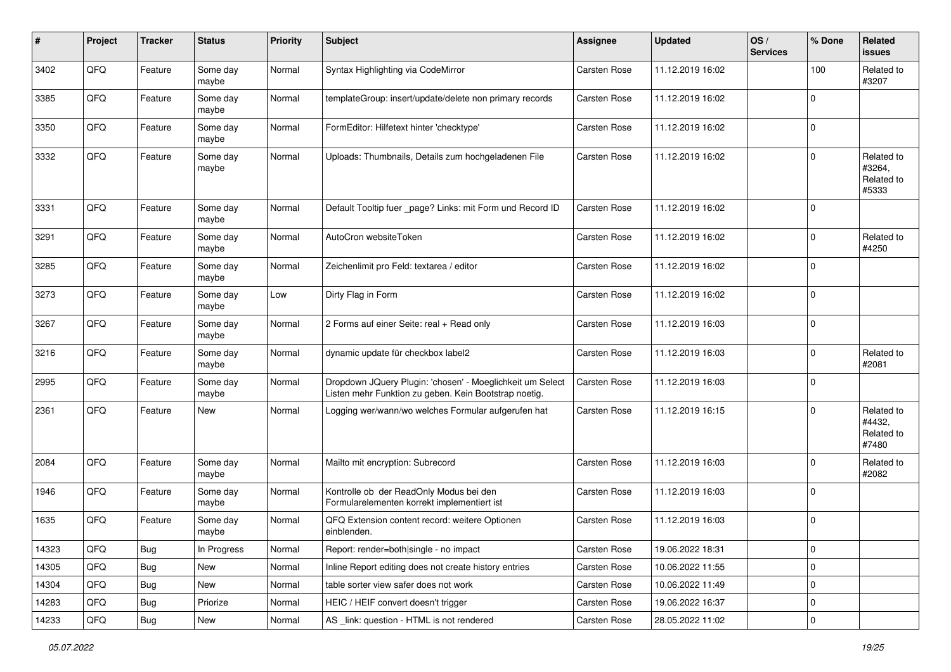| #     | Project | <b>Tracker</b> | <b>Status</b>     | <b>Priority</b> | <b>Subject</b>                                                                                                     | <b>Assignee</b>     | <b>Updated</b>   | OS/<br><b>Services</b> | % Done       | Related<br><b>issues</b>                    |
|-------|---------|----------------|-------------------|-----------------|--------------------------------------------------------------------------------------------------------------------|---------------------|------------------|------------------------|--------------|---------------------------------------------|
| 3402  | QFQ     | Feature        | Some day<br>maybe | Normal          | Syntax Highlighting via CodeMirror                                                                                 | <b>Carsten Rose</b> | 11.12.2019 16:02 |                        | 100          | Related to<br>#3207                         |
| 3385  | QFQ     | Feature        | Some day<br>maybe | Normal          | templateGroup: insert/update/delete non primary records                                                            | <b>Carsten Rose</b> | 11.12.2019 16:02 |                        | $\mathbf 0$  |                                             |
| 3350  | QFQ     | Feature        | Some day<br>maybe | Normal          | FormEditor: Hilfetext hinter 'checktype'                                                                           | Carsten Rose        | 11.12.2019 16:02 |                        | $\mathbf 0$  |                                             |
| 3332  | QFQ     | Feature        | Some day<br>maybe | Normal          | Uploads: Thumbnails, Details zum hochgeladenen File                                                                | <b>Carsten Rose</b> | 11.12.2019 16:02 |                        | $\mathbf 0$  | Related to<br>#3264,<br>Related to<br>#5333 |
| 3331  | QFQ     | Feature        | Some day<br>maybe | Normal          | Default Tooltip fuer _page? Links: mit Form und Record ID                                                          | <b>Carsten Rose</b> | 11.12.2019 16:02 |                        | $\Omega$     |                                             |
| 3291  | QFQ     | Feature        | Some day<br>maybe | Normal          | AutoCron websiteToken                                                                                              | <b>Carsten Rose</b> | 11.12.2019 16:02 |                        | $\mathbf 0$  | Related to<br>#4250                         |
| 3285  | QFQ     | Feature        | Some day<br>maybe | Normal          | Zeichenlimit pro Feld: textarea / editor                                                                           | <b>Carsten Rose</b> | 11.12.2019 16:02 |                        | $\mathbf{0}$ |                                             |
| 3273  | QFQ     | Feature        | Some day<br>maybe | Low             | Dirty Flag in Form                                                                                                 | Carsten Rose        | 11.12.2019 16:02 |                        | $\mathbf{0}$ |                                             |
| 3267  | QFQ     | Feature        | Some day<br>maybe | Normal          | 2 Forms auf einer Seite: real + Read only                                                                          | <b>Carsten Rose</b> | 11.12.2019 16:03 |                        | $\mathbf{0}$ |                                             |
| 3216  | QFQ     | Feature        | Some day<br>maybe | Normal          | dynamic update für checkbox label2                                                                                 | <b>Carsten Rose</b> | 11.12.2019 16:03 |                        | $\mathbf 0$  | Related to<br>#2081                         |
| 2995  | QFQ     | Feature        | Some day<br>maybe | Normal          | Dropdown JQuery Plugin: 'chosen' - Moeglichkeit um Select<br>Listen mehr Funktion zu geben. Kein Bootstrap noetig. | <b>Carsten Rose</b> | 11.12.2019 16:03 |                        | $\mathbf 0$  |                                             |
| 2361  | QFQ     | Feature        | New               | Normal          | Logging wer/wann/wo welches Formular aufgerufen hat                                                                | <b>Carsten Rose</b> | 11.12.2019 16:15 |                        | $\mathbf{0}$ | Related to<br>#4432,<br>Related to<br>#7480 |
| 2084  | QFQ     | Feature        | Some day<br>maybe | Normal          | Mailto mit encryption: Subrecord                                                                                   | <b>Carsten Rose</b> | 11.12.2019 16:03 |                        | $\mathbf 0$  | Related to<br>#2082                         |
| 1946  | QFQ     | Feature        | Some day<br>maybe | Normal          | Kontrolle ob der ReadOnly Modus bei den<br>Formularelementen korrekt implementiert ist                             | Carsten Rose        | 11.12.2019 16:03 |                        | $\mathbf 0$  |                                             |
| 1635  | QFQ     | Feature        | Some day<br>maybe | Normal          | QFQ Extension content record: weitere Optionen<br>einblenden.                                                      | <b>Carsten Rose</b> | 11.12.2019 16:03 |                        | $\mathbf{0}$ |                                             |
| 14323 | QFO     | <b>Bug</b>     | In Progress       | Normal          | Report: render=both single - no impact                                                                             | Carsten Rose        | 19.06.2022 18:31 |                        | 0            |                                             |
| 14305 | QFQ     | <b>Bug</b>     | New               | Normal          | Inline Report editing does not create history entries                                                              | Carsten Rose        | 10.06.2022 11:55 |                        | $\mathbf 0$  |                                             |
| 14304 | QFQ     | Bug            | New               | Normal          | table sorter view safer does not work                                                                              | Carsten Rose        | 10.06.2022 11:49 |                        | 0            |                                             |
| 14283 | QFQ     | <b>Bug</b>     | Priorize          | Normal          | HEIC / HEIF convert doesn't trigger                                                                                | Carsten Rose        | 19.06.2022 16:37 |                        | 0            |                                             |
| 14233 | QFQ     | <b>Bug</b>     | New               | Normal          | AS _link: question - HTML is not rendered                                                                          | Carsten Rose        | 28.05.2022 11:02 |                        | $\mathbf 0$  |                                             |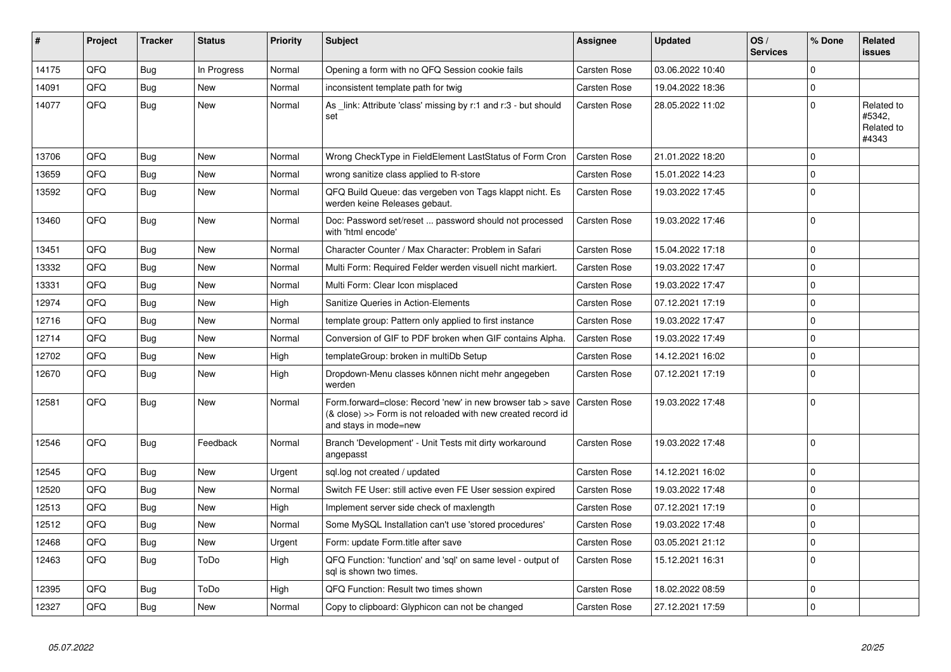| #     | <b>Project</b> | <b>Tracker</b> | <b>Status</b> | <b>Priority</b> | <b>Subject</b>                                                                                                                                      | Assignee            | <b>Updated</b>   | OS/<br><b>Services</b> | % Done   | Related<br><b>issues</b>                    |
|-------|----------------|----------------|---------------|-----------------|-----------------------------------------------------------------------------------------------------------------------------------------------------|---------------------|------------------|------------------------|----------|---------------------------------------------|
| 14175 | QFQ            | Bug            | In Progress   | Normal          | Opening a form with no QFQ Session cookie fails                                                                                                     | <b>Carsten Rose</b> | 03.06.2022 10:40 |                        | $\Omega$ |                                             |
| 14091 | QFQ            | <b>Bug</b>     | New           | Normal          | inconsistent template path for twig                                                                                                                 | Carsten Rose        | 19.04.2022 18:36 |                        | $\Omega$ |                                             |
| 14077 | QFQ            | Bug            | New           | Normal          | As link: Attribute 'class' missing by r:1 and r:3 - but should<br>set                                                                               | <b>Carsten Rose</b> | 28.05.2022 11:02 |                        | $\Omega$ | Related to<br>#5342,<br>Related to<br>#4343 |
| 13706 | QFQ            | <b>Bug</b>     | <b>New</b>    | Normal          | Wrong CheckType in FieldElement LastStatus of Form Cron                                                                                             | <b>Carsten Rose</b> | 21.01.2022 18:20 |                        | $\Omega$ |                                             |
| 13659 | QFQ            | Bug            | <b>New</b>    | Normal          | wrong sanitize class applied to R-store                                                                                                             | <b>Carsten Rose</b> | 15.01.2022 14:23 |                        | $\Omega$ |                                             |
| 13592 | QFQ            | Bug            | <b>New</b>    | Normal          | QFQ Build Queue: das vergeben von Tags klappt nicht. Es<br>werden keine Releases gebaut.                                                            | <b>Carsten Rose</b> | 19.03.2022 17:45 |                        | $\Omega$ |                                             |
| 13460 | QFQ            | <b>Bug</b>     | <b>New</b>    | Normal          | Doc: Password set/reset  password should not processed<br>with 'html encode'                                                                        | <b>Carsten Rose</b> | 19.03.2022 17:46 |                        | $\Omega$ |                                             |
| 13451 | QFQ            | Bug            | <b>New</b>    | Normal          | Character Counter / Max Character: Problem in Safari                                                                                                | Carsten Rose        | 15.04.2022 17:18 |                        | $\Omega$ |                                             |
| 13332 | QFQ            | Bug            | <b>New</b>    | Normal          | Multi Form: Required Felder werden visuell nicht markiert.                                                                                          | <b>Carsten Rose</b> | 19.03.2022 17:47 |                        | $\Omega$ |                                             |
| 13331 | QFQ            | Bug            | <b>New</b>    | Normal          | Multi Form: Clear Icon misplaced                                                                                                                    | <b>Carsten Rose</b> | 19.03.2022 17:47 |                        | 0        |                                             |
| 12974 | QFQ            | <b>Bug</b>     | <b>New</b>    | High            | Sanitize Queries in Action-Elements                                                                                                                 | <b>Carsten Rose</b> | 07.12.2021 17:19 |                        | $\Omega$ |                                             |
| 12716 | QFQ            | Bug            | New           | Normal          | template group: Pattern only applied to first instance                                                                                              | <b>Carsten Rose</b> | 19.03.2022 17:47 |                        | $\Omega$ |                                             |
| 12714 | QFQ            | <b>Bug</b>     | <b>New</b>    | Normal          | Conversion of GIF to PDF broken when GIF contains Alpha.                                                                                            | <b>Carsten Rose</b> | 19.03.2022 17:49 |                        | $\Omega$ |                                             |
| 12702 | QFQ            | Bug            | <b>New</b>    | High            | templateGroup: broken in multiDb Setup                                                                                                              | <b>Carsten Rose</b> | 14.12.2021 16:02 |                        | $\Omega$ |                                             |
| 12670 | QFQ            | <b>Bug</b>     | <b>New</b>    | High            | Dropdown-Menu classes können nicht mehr angegeben<br>werden                                                                                         | <b>Carsten Rose</b> | 07.12.2021 17:19 |                        | $\Omega$ |                                             |
| 12581 | QFQ            | <b>Bug</b>     | <b>New</b>    | Normal          | Form.forward=close: Record 'new' in new browser tab > save<br>(& close) >> Form is not reloaded with new created record id<br>and stays in mode=new | <b>Carsten Rose</b> | 19.03.2022 17:48 |                        | $\Omega$ |                                             |
| 12546 | QFQ            | <b>Bug</b>     | Feedback      | Normal          | Branch 'Development' - Unit Tests mit dirty workaround<br>angepasst                                                                                 | <b>Carsten Rose</b> | 19.03.2022 17:48 |                        | $\Omega$ |                                             |
| 12545 | QFQ            | Bug            | <b>New</b>    | Urgent          | sql.log not created / updated                                                                                                                       | <b>Carsten Rose</b> | 14.12.2021 16:02 |                        | $\Omega$ |                                             |
| 12520 | QFQ            | Bug            | New           | Normal          | Switch FE User: still active even FE User session expired                                                                                           | <b>Carsten Rose</b> | 19.03.2022 17:48 |                        | $\Omega$ |                                             |
| 12513 | QFQ            | Bug            | <b>New</b>    | High            | Implement server side check of maxlength                                                                                                            | Carsten Rose        | 07.12.2021 17:19 |                        | $\Omega$ |                                             |
| 12512 | QFQ            | Bug            | <b>New</b>    | Normal          | Some MySQL Installation can't use 'stored procedures'                                                                                               | <b>Carsten Rose</b> | 19.03.2022 17:48 |                        | $\Omega$ |                                             |
| 12468 | QFQ            | <b>Bug</b>     | New           | Urgent          | Form: update Form.title after save                                                                                                                  | Carsten Rose        | 03.05.2021 21:12 |                        | $\Omega$ |                                             |
| 12463 | QFQ            | Bug            | ToDo          | High            | QFQ Function: 'function' and 'sql' on same level - output of<br>sql is shown two times.                                                             | <b>Carsten Rose</b> | 15.12.2021 16:31 |                        | $\Omega$ |                                             |
| 12395 | QFQ            | <b>Bug</b>     | ToDo          | High            | QFQ Function: Result two times shown                                                                                                                | <b>Carsten Rose</b> | 18.02.2022 08:59 |                        | $\Omega$ |                                             |
| 12327 | QFQ            | Bug            | New           | Normal          | Copy to clipboard: Glyphicon can not be changed                                                                                                     | <b>Carsten Rose</b> | 27.12.2021 17:59 |                        | $\Omega$ |                                             |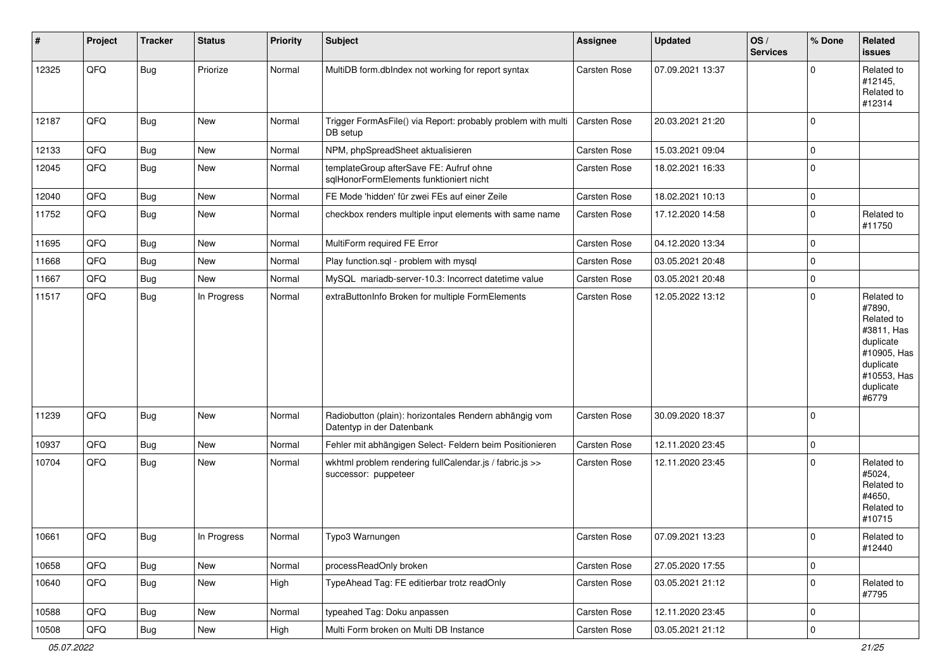| #     | Project | <b>Tracker</b> | <b>Status</b> | <b>Priority</b> | <b>Subject</b>                                                                      | <b>Assignee</b>     | <b>Updated</b>   | OS/<br><b>Services</b> | % Done      | Related<br><b>issues</b>                                                                                                       |
|-------|---------|----------------|---------------|-----------------|-------------------------------------------------------------------------------------|---------------------|------------------|------------------------|-------------|--------------------------------------------------------------------------------------------------------------------------------|
| 12325 | QFQ     | <b>Bug</b>     | Priorize      | Normal          | MultiDB form.dblndex not working for report syntax                                  | <b>Carsten Rose</b> | 07.09.2021 13:37 |                        | $\Omega$    | Related to<br>#12145,<br>Related to<br>#12314                                                                                  |
| 12187 | QFQ     | <b>Bug</b>     | New           | Normal          | Trigger FormAsFile() via Report: probably problem with multi<br>DB setup            | <b>Carsten Rose</b> | 20.03.2021 21:20 |                        | $\Omega$    |                                                                                                                                |
| 12133 | QFQ     | <b>Bug</b>     | New           | Normal          | NPM, phpSpreadSheet aktualisieren                                                   | <b>Carsten Rose</b> | 15.03.2021 09:04 |                        | $\mathbf 0$ |                                                                                                                                |
| 12045 | QFQ     | <b>Bug</b>     | New           | Normal          | templateGroup afterSave FE: Aufruf ohne<br>sqlHonorFormElements funktioniert nicht  | <b>Carsten Rose</b> | 18.02.2021 16:33 |                        | $\mathbf 0$ |                                                                                                                                |
| 12040 | QFQ     | <b>Bug</b>     | New           | Normal          | FE Mode 'hidden' für zwei FEs auf einer Zeile                                       | <b>Carsten Rose</b> | 18.02.2021 10:13 |                        | $\mathbf 0$ |                                                                                                                                |
| 11752 | QFQ     | <b>Bug</b>     | New           | Normal          | checkbox renders multiple input elements with same name                             | Carsten Rose        | 17.12.2020 14:58 |                        | $\Omega$    | Related to<br>#11750                                                                                                           |
| 11695 | QFQ     | <b>Bug</b>     | <b>New</b>    | Normal          | MultiForm required FE Error                                                         | <b>Carsten Rose</b> | 04.12.2020 13:34 |                        | $\mathbf 0$ |                                                                                                                                |
| 11668 | QFQ     | <b>Bug</b>     | <b>New</b>    | Normal          | Play function.sql - problem with mysql                                              | <b>Carsten Rose</b> | 03.05.2021 20:48 |                        | $\mathbf 0$ |                                                                                                                                |
| 11667 | QFQ     | <b>Bug</b>     | New           | Normal          | MySQL mariadb-server-10.3: Incorrect datetime value                                 | <b>Carsten Rose</b> | 03.05.2021 20:48 |                        | $\mathbf 0$ |                                                                                                                                |
| 11517 | QFQ     | <b>Bug</b>     | In Progress   | Normal          | extraButtonInfo Broken for multiple FormElements                                    | <b>Carsten Rose</b> | 12.05.2022 13:12 |                        | $\Omega$    | Related to<br>#7890,<br>Related to<br>#3811, Has<br>duplicate<br>#10905, Has<br>duplicate<br>#10553, Has<br>duplicate<br>#6779 |
| 11239 | QFQ     | <b>Bug</b>     | <b>New</b>    | Normal          | Radiobutton (plain): horizontales Rendern abhängig vom<br>Datentyp in der Datenbank | <b>Carsten Rose</b> | 30.09.2020 18:37 |                        | $\Omega$    |                                                                                                                                |
| 10937 | QFQ     | <b>Bug</b>     | New           | Normal          | Fehler mit abhängigen Select- Feldern beim Positionieren                            | Carsten Rose        | 12.11.2020 23:45 |                        | $\Omega$    |                                                                                                                                |
| 10704 | QFQ     | <b>Bug</b>     | New           | Normal          | wkhtml problem rendering fullCalendar.js / fabric.js >><br>successor: puppeteer     | <b>Carsten Rose</b> | 12.11.2020 23:45 |                        | $\mathbf 0$ | Related to<br>#5024,<br>Related to<br>#4650,<br>Related to<br>#10715                                                           |
| 10661 | QFQ     | Bug            | In Progress   | Normal          | Typo3 Warnungen                                                                     | Carsten Rose        | 07.09.2021 13:23 |                        | $\Omega$    | Related to<br>#12440                                                                                                           |
| 10658 | QFQ     | <b>Bug</b>     | New           | Normal          | processReadOnly broken                                                              | Carsten Rose        | 27.05.2020 17:55 |                        | $\mathbf 0$ |                                                                                                                                |
| 10640 | QFQ     | <b>Bug</b>     | New           | High            | TypeAhead Tag: FE editierbar trotz readOnly                                         | Carsten Rose        | 03.05.2021 21:12 |                        | $\mathbf 0$ | Related to<br>#7795                                                                                                            |
| 10588 | QFQ     | <b>Bug</b>     | New           | Normal          | typeahed Tag: Doku anpassen                                                         | Carsten Rose        | 12.11.2020 23:45 |                        | 0           |                                                                                                                                |
| 10508 | QFQ     | <b>Bug</b>     | New           | High            | Multi Form broken on Multi DB Instance                                              | Carsten Rose        | 03.05.2021 21:12 |                        | $\mathbf 0$ |                                                                                                                                |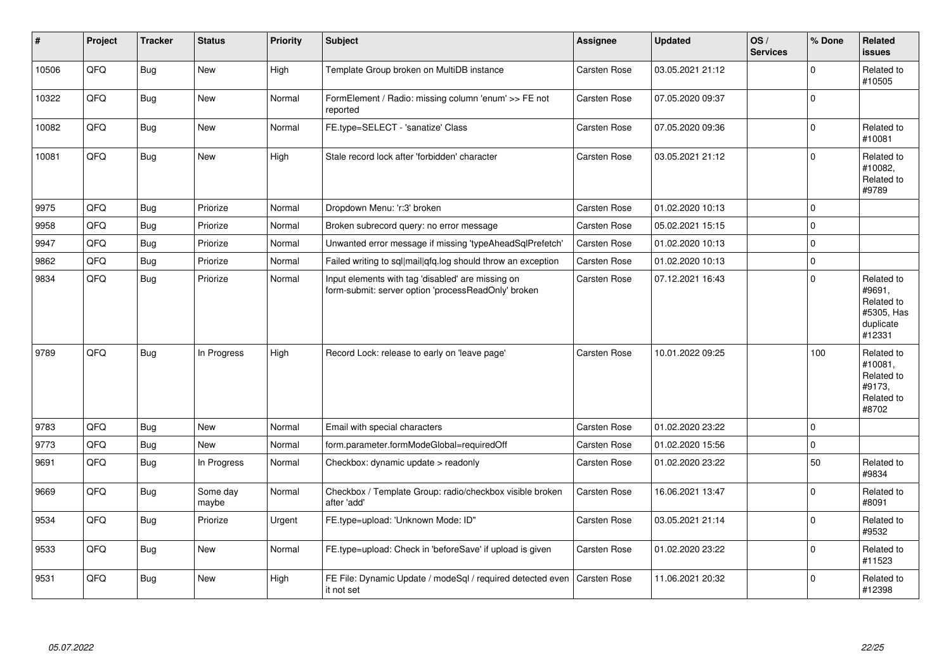| #     | Project | <b>Tracker</b> | <b>Status</b>     | <b>Priority</b> | <b>Subject</b>                                                                                           | Assignee            | <b>Updated</b>   | OS/<br><b>Services</b> | % Done      | Related<br><b>issues</b>                                                |
|-------|---------|----------------|-------------------|-----------------|----------------------------------------------------------------------------------------------------------|---------------------|------------------|------------------------|-------------|-------------------------------------------------------------------------|
| 10506 | QFQ     | <b>Bug</b>     | New               | High            | Template Group broken on MultiDB instance                                                                | Carsten Rose        | 03.05.2021 21:12 |                        | $\Omega$    | Related to<br>#10505                                                    |
| 10322 | QFQ     | <b>Bug</b>     | <b>New</b>        | Normal          | FormElement / Radio: missing column 'enum' >> FE not<br>reported                                         | <b>Carsten Rose</b> | 07.05.2020 09:37 |                        | $\mathbf 0$ |                                                                         |
| 10082 | QFQ     | Bug            | <b>New</b>        | Normal          | FE.type=SELECT - 'sanatize' Class                                                                        | <b>Carsten Rose</b> | 07.05.2020 09:36 |                        | $\Omega$    | Related to<br>#10081                                                    |
| 10081 | QFQ     | <b>Bug</b>     | New               | High            | Stale record lock after 'forbidden' character                                                            | <b>Carsten Rose</b> | 03.05.2021 21:12 |                        | $\Omega$    | Related to<br>#10082,<br>Related to<br>#9789                            |
| 9975  | QFQ     | Bug            | Priorize          | Normal          | Dropdown Menu: 'r:3' broken                                                                              | Carsten Rose        | 01.02.2020 10:13 |                        | $\Omega$    |                                                                         |
| 9958  | QFQ     | <b>Bug</b>     | Priorize          | Normal          | Broken subrecord query: no error message                                                                 | Carsten Rose        | 05.02.2021 15:15 |                        | $\mathbf 0$ |                                                                         |
| 9947  | QFQ     | <b>Bug</b>     | Priorize          | Normal          | Unwanted error message if missing 'typeAheadSqlPrefetch'                                                 | Carsten Rose        | 01.02.2020 10:13 |                        | $\mathbf 0$ |                                                                         |
| 9862  | QFQ     | <b>Bug</b>     | Priorize          | Normal          | Failed writing to sql mail qfq.log should throw an exception                                             | Carsten Rose        | 01.02.2020 10:13 |                        | $\Omega$    |                                                                         |
| 9834  | QFQ     | <b>Bug</b>     | Priorize          | Normal          | Input elements with tag 'disabled' are missing on<br>form-submit: server option 'processReadOnly' broken | <b>Carsten Rose</b> | 07.12.2021 16:43 |                        | $\Omega$    | Related to<br>#9691,<br>Related to<br>#5305, Has<br>duplicate<br>#12331 |
| 9789  | QFQ     | <b>Bug</b>     | In Progress       | High            | Record Lock: release to early on 'leave page'                                                            | <b>Carsten Rose</b> | 10.01.2022 09:25 |                        | 100         | Related to<br>#10081,<br>Related to<br>#9173.<br>Related to<br>#8702    |
| 9783  | QFQ     | <b>Bug</b>     | New               | Normal          | Email with special characters                                                                            | <b>Carsten Rose</b> | 01.02.2020 23:22 |                        | $\mathbf 0$ |                                                                         |
| 9773  | QFQ     | <b>Bug</b>     | <b>New</b>        | Normal          | form.parameter.formModeGlobal=requiredOff                                                                | Carsten Rose        | 01.02.2020 15:56 |                        | $\mathbf 0$ |                                                                         |
| 9691  | QFQ     | Bug            | In Progress       | Normal          | Checkbox: dynamic update > readonly                                                                      | Carsten Rose        | 01.02.2020 23:22 |                        | 50          | Related to<br>#9834                                                     |
| 9669  | QFQ     | Bug            | Some day<br>maybe | Normal          | Checkbox / Template Group: radio/checkbox visible broken<br>after 'add'                                  | <b>Carsten Rose</b> | 16.06.2021 13:47 |                        | $\Omega$    | Related to<br>#8091                                                     |
| 9534  | QFQ     | <b>Bug</b>     | Priorize          | Urgent          | FE.type=upload: 'Unknown Mode: ID"                                                                       | Carsten Rose        | 03.05.2021 21:14 |                        | $\Omega$    | Related to<br>#9532                                                     |
| 9533  | QFQ     | Bug            | <b>New</b>        | Normal          | FE.type=upload: Check in 'beforeSave' if upload is given                                                 | Carsten Rose        | 01.02.2020 23:22 |                        | $\Omega$    | Related to<br>#11523                                                    |
| 9531  | QFQ     | Bug            | New               | High            | FE File: Dynamic Update / modeSgl / required detected even<br>it not set                                 | Carsten Rose        | 11.06.2021 20:32 |                        | $\mathbf 0$ | Related to<br>#12398                                                    |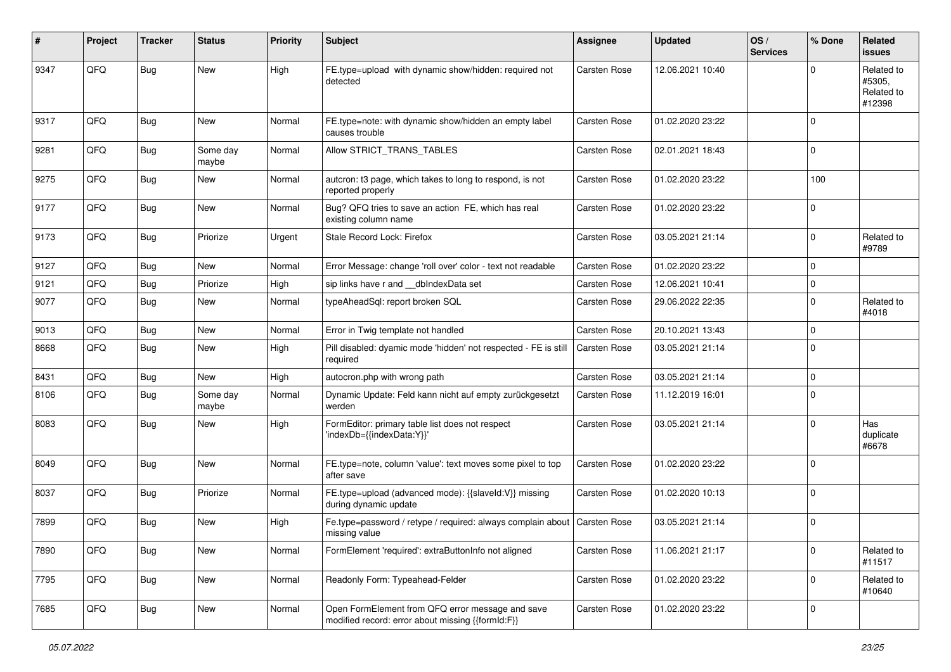| #    | Project | <b>Tracker</b> | <b>Status</b>     | <b>Priority</b> | <b>Subject</b>                                                                                        | <b>Assignee</b>     | <b>Updated</b>   | OS/<br><b>Services</b> | % Done      | Related<br><b>issues</b>                     |
|------|---------|----------------|-------------------|-----------------|-------------------------------------------------------------------------------------------------------|---------------------|------------------|------------------------|-------------|----------------------------------------------|
| 9347 | QFQ     | Bug            | New               | High            | FE.type=upload with dynamic show/hidden: required not<br>detected                                     | <b>Carsten Rose</b> | 12.06.2021 10:40 |                        | $\Omega$    | Related to<br>#5305,<br>Related to<br>#12398 |
| 9317 | QFQ     | <b>Bug</b>     | <b>New</b>        | Normal          | FE.type=note: with dynamic show/hidden an empty label<br>causes trouble                               | <b>Carsten Rose</b> | 01.02.2020 23:22 |                        | $\Omega$    |                                              |
| 9281 | QFQ     | <b>Bug</b>     | Some day<br>maybe | Normal          | Allow STRICT TRANS TABLES                                                                             | <b>Carsten Rose</b> | 02.01.2021 18:43 |                        | $\mathbf 0$ |                                              |
| 9275 | QFQ     | Bug            | New               | Normal          | autcron: t3 page, which takes to long to respond, is not<br>reported properly                         | Carsten Rose        | 01.02.2020 23:22 |                        | 100         |                                              |
| 9177 | QFQ     | Bug            | <b>New</b>        | Normal          | Bug? QFQ tries to save an action FE, which has real<br>existing column name                           | Carsten Rose        | 01.02.2020 23:22 |                        | $\Omega$    |                                              |
| 9173 | QFQ     | Bug            | Priorize          | Urgent          | Stale Record Lock: Firefox                                                                            | Carsten Rose        | 03.05.2021 21:14 |                        | $\Omega$    | Related to<br>#9789                          |
| 9127 | QFQ     | <b>Bug</b>     | New               | Normal          | Error Message: change 'roll over' color - text not readable                                           | <b>Carsten Rose</b> | 01.02.2020 23:22 |                        | $\mathbf 0$ |                                              |
| 9121 | QFQ     | Bug            | Priorize          | High            | sip links have r and dblndexData set                                                                  | Carsten Rose        | 12.06.2021 10:41 |                        | 0           |                                              |
| 9077 | QFQ     | Bug            | New               | Normal          | typeAheadSql: report broken SQL                                                                       | Carsten Rose        | 29.06.2022 22:35 |                        | $\Omega$    | Related to<br>#4018                          |
| 9013 | QFQ     | Bug            | New               | Normal          | Error in Twig template not handled                                                                    | Carsten Rose        | 20.10.2021 13:43 |                        | 0           |                                              |
| 8668 | QFQ     | Bug            | <b>New</b>        | High            | Pill disabled: dyamic mode 'hidden' not respected - FE is still<br>required                           | <b>Carsten Rose</b> | 03.05.2021 21:14 |                        | $\Omega$    |                                              |
| 8431 | QFQ     | Bug            | <b>New</b>        | High            | autocron.php with wrong path                                                                          | <b>Carsten Rose</b> | 03.05.2021 21:14 |                        | $\Omega$    |                                              |
| 8106 | QFQ     | Bug            | Some day<br>maybe | Normal          | Dynamic Update: Feld kann nicht auf empty zurückgesetzt<br>werden                                     | Carsten Rose        | 11.12.2019 16:01 |                        | $\mathbf 0$ |                                              |
| 8083 | QFQ     | Bug            | New               | High            | FormEditor: primary table list does not respect<br>'indexDb={{indexData:Y}}'                          | Carsten Rose        | 03.05.2021 21:14 |                        | $\mathbf 0$ | Has<br>duplicate<br>#6678                    |
| 8049 | QFQ     | <b>Bug</b>     | New               | Normal          | FE.type=note, column 'value': text moves some pixel to top<br>after save                              | Carsten Rose        | 01.02.2020 23:22 |                        | $\mathbf 0$ |                                              |
| 8037 | QFQ     | Bug            | Priorize          | Normal          | FE.type=upload (advanced mode): {{slaveId:V}} missing<br>during dynamic update                        | Carsten Rose        | 01.02.2020 10:13 |                        | $\Omega$    |                                              |
| 7899 | QFQ     | Bug            | New               | High            | Fe.type=password / retype / required: always complain about   Carsten Rose<br>missing value           |                     | 03.05.2021 21:14 |                        | $\Omega$    |                                              |
| 7890 | QFQ     | <b>Bug</b>     | New               | Normal          | FormElement 'required': extraButtonInfo not aligned                                                   | Carsten Rose        | 11.06.2021 21:17 |                        | $\mathbf 0$ | Related to<br>#11517                         |
| 7795 | QFQ     | <b>Bug</b>     | New               | Normal          | Readonly Form: Typeahead-Felder                                                                       | Carsten Rose        | 01.02.2020 23:22 |                        | $\mathbf 0$ | Related to<br>#10640                         |
| 7685 | QFQ     | Bug            | New               | Normal          | Open FormElement from QFQ error message and save<br>modified record: error about missing {{formId:F}} | Carsten Rose        | 01.02.2020 23:22 |                        | $\mathbf 0$ |                                              |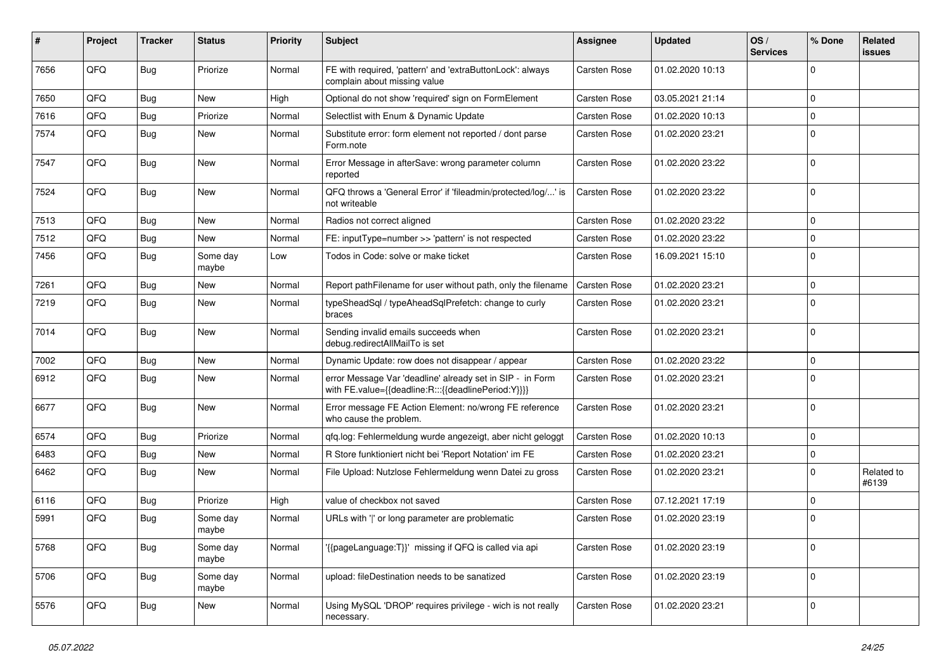| #    | Project | <b>Tracker</b> | <b>Status</b>     | <b>Priority</b> | Subject                                                                                                          | <b>Assignee</b>     | <b>Updated</b>   | OS/<br><b>Services</b> | % Done      | Related<br>issues   |
|------|---------|----------------|-------------------|-----------------|------------------------------------------------------------------------------------------------------------------|---------------------|------------------|------------------------|-------------|---------------------|
| 7656 | QFQ     | Bug            | Priorize          | Normal          | FE with required, 'pattern' and 'extraButtonLock': always<br>complain about missing value                        | <b>Carsten Rose</b> | 01.02.2020 10:13 |                        | 0           |                     |
| 7650 | QFQ     | <b>Bug</b>     | New               | High            | Optional do not show 'required' sign on FormElement                                                              | <b>Carsten Rose</b> | 03.05.2021 21:14 |                        | $\mathbf 0$ |                     |
| 7616 | QFQ     | Bug            | Priorize          | Normal          | Selectlist with Enum & Dynamic Update                                                                            | <b>Carsten Rose</b> | 01.02.2020 10:13 |                        | 0           |                     |
| 7574 | QFQ     | Bug            | New               | Normal          | Substitute error: form element not reported / dont parse<br>Form.note                                            | <b>Carsten Rose</b> | 01.02.2020 23:21 |                        | $\mathbf 0$ |                     |
| 7547 | QFQ     | Bug            | New               | Normal          | Error Message in afterSave: wrong parameter column<br>reported                                                   | <b>Carsten Rose</b> | 01.02.2020 23:22 |                        | $\mathbf 0$ |                     |
| 7524 | QFQ     | Bug            | <b>New</b>        | Normal          | QFQ throws a 'General Error' if 'fileadmin/protected/log/' is<br>not writeable                                   | <b>Carsten Rose</b> | 01.02.2020 23:22 |                        | $\mathbf 0$ |                     |
| 7513 | QFQ     | <b>Bug</b>     | <b>New</b>        | Normal          | Radios not correct aligned                                                                                       | <b>Carsten Rose</b> | 01.02.2020 23:22 |                        | $\mathbf 0$ |                     |
| 7512 | QFQ     | Bug            | <b>New</b>        | Normal          | FE: inputType=number >> 'pattern' is not respected                                                               | <b>Carsten Rose</b> | 01.02.2020 23:22 |                        | $\mathbf 0$ |                     |
| 7456 | QFQ     | Bug            | Some day<br>maybe | Low             | Todos in Code: solve or make ticket                                                                              | <b>Carsten Rose</b> | 16.09.2021 15:10 |                        | $\Omega$    |                     |
| 7261 | QFQ     | <b>Bug</b>     | <b>New</b>        | Normal          | Report pathFilename for user without path, only the filename                                                     | <b>Carsten Rose</b> | 01.02.2020 23:21 |                        | $\mathbf 0$ |                     |
| 7219 | QFQ     | Bug            | <b>New</b>        | Normal          | typeSheadSql / typeAheadSqlPrefetch: change to curly<br>braces                                                   | <b>Carsten Rose</b> | 01.02.2020 23:21 |                        | $\Omega$    |                     |
| 7014 | QFQ     | Bug            | <b>New</b>        | Normal          | Sending invalid emails succeeds when<br>debug.redirectAllMailTo is set                                           | <b>Carsten Rose</b> | 01.02.2020 23:21 |                        | $\Omega$    |                     |
| 7002 | QFQ     | <b>Bug</b>     | New               | Normal          | Dynamic Update: row does not disappear / appear                                                                  | <b>Carsten Rose</b> | 01.02.2020 23:22 |                        | $\mathbf 0$ |                     |
| 6912 | QFQ     | Bug            | New               | Normal          | error Message Var 'deadline' already set in SIP - in Form<br>with FE.value={{deadline:R:::{{deadlinePeriod:Y}}}} | <b>Carsten Rose</b> | 01.02.2020 23:21 |                        | $\Omega$    |                     |
| 6677 | QFQ     | Bug            | New               | Normal          | Error message FE Action Element: no/wrong FE reference<br>who cause the problem.                                 | Carsten Rose        | 01.02.2020 23:21 |                        | $\mathbf 0$ |                     |
| 6574 | QFQ     | Bug            | Priorize          | Normal          | qfq.log: Fehlermeldung wurde angezeigt, aber nicht geloggt                                                       | <b>Carsten Rose</b> | 01.02.2020 10:13 |                        | $\mathbf 0$ |                     |
| 6483 | QFQ     | Bug            | New               | Normal          | R Store funktioniert nicht bei 'Report Notation' im FE                                                           | <b>Carsten Rose</b> | 01.02.2020 23:21 |                        | $\mathbf 0$ |                     |
| 6462 | QFQ     | <b>Bug</b>     | <b>New</b>        | Normal          | File Upload: Nutzlose Fehlermeldung wenn Datei zu gross                                                          | <b>Carsten Rose</b> | 01.02.2020 23:21 |                        | $\Omega$    | Related to<br>#6139 |
| 6116 | QFQ     | <b>Bug</b>     | Priorize          | High            | value of checkbox not saved                                                                                      | <b>Carsten Rose</b> | 07.12.2021 17:19 |                        | $\mathbf 0$ |                     |
| 5991 | QFQ     | <b>Bug</b>     | Some day<br>maybe | Normal          | URLs with ' ' or long parameter are problematic                                                                  | <b>Carsten Rose</b> | 01.02.2020 23:19 |                        | l 0         |                     |
| 5768 | QFQ     | <b>Bug</b>     | Some day<br>maybe | Normal          | '{{pageLanguage:T}}' missing if QFQ is called via api                                                            | Carsten Rose        | 01.02.2020 23:19 |                        | $\mathbf 0$ |                     |
| 5706 | QFQ     | Bug            | Some day<br>maybe | Normal          | upload: fileDestination needs to be sanatized                                                                    | Carsten Rose        | 01.02.2020 23:19 |                        | $\mathbf 0$ |                     |
| 5576 | QFQ     | Bug            | New               | Normal          | Using MySQL 'DROP' requires privilege - wich is not really<br>necessary.                                         | Carsten Rose        | 01.02.2020 23:21 |                        | $\mathbf 0$ |                     |